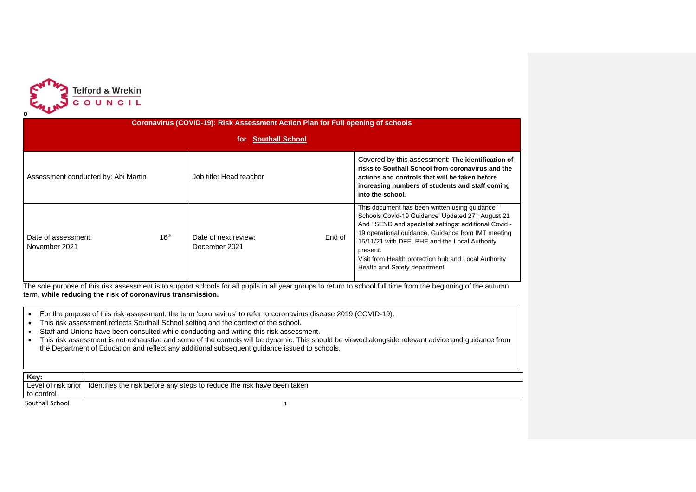

| Coronavirus (COVID-19): Risk Assessment Action Plan for Full opening of schools |                  |                                       |        |                                                                                                                                                                                                                                                                                                                                                                            |  |  |  |  |  |  |
|---------------------------------------------------------------------------------|------------------|---------------------------------------|--------|----------------------------------------------------------------------------------------------------------------------------------------------------------------------------------------------------------------------------------------------------------------------------------------------------------------------------------------------------------------------------|--|--|--|--|--|--|
| for Southall School                                                             |                  |                                       |        |                                                                                                                                                                                                                                                                                                                                                                            |  |  |  |  |  |  |
| Assessment conducted by: Abi Martin                                             |                  | Job title: Head teacher               |        | Covered by this assessment: The identification of<br>risks to Southall School from coronavirus and the<br>actions and controls that will be taken before<br>increasing numbers of students and staff coming<br>into the school.                                                                                                                                            |  |  |  |  |  |  |
| Date of assessment:<br>November 2021                                            | 16 <sup>th</sup> | Date of next review:<br>December 2021 | End of | This document has been written using guidance '<br>Schools Covid-19 Guidance' Updated 27th August 21<br>And 'SEND and specialist settings: additional Covid -<br>19 operational guidance. Guidance from IMT meeting<br>15/11/21 with DFE, PHE and the Local Authority<br>present.<br>Visit from Health protection hub and Local Authority<br>Health and Safety department. |  |  |  |  |  |  |

The sole purpose of this risk assessment is to support schools for all pupils in all year groups to return to school full time from the beginning of the autumn term, **while reducing the risk of coronavirus transmission.** 

- For the purpose of this risk assessment, the term 'coronavirus' to refer to coronavirus disease 2019 (COVID-19).
- This risk assessment reflects Southall School setting and the context of the school.
- Staff and Unions have been consulted while conducting and writing this risk assessment.
- This risk assessment is not exhaustive and some of the controls will be dynamic. This should be viewed alongside relevant advice and guidance from the Department of Education and reflect any additional subsequent guidance issued to schools.

| Kev:            |                                                                                               |
|-----------------|-----------------------------------------------------------------------------------------------|
|                 | Level of risk prior   Identifies the risk before any steps to reduce the risk have been taken |
| to control      |                                                                                               |
| Southall School |                                                                                               |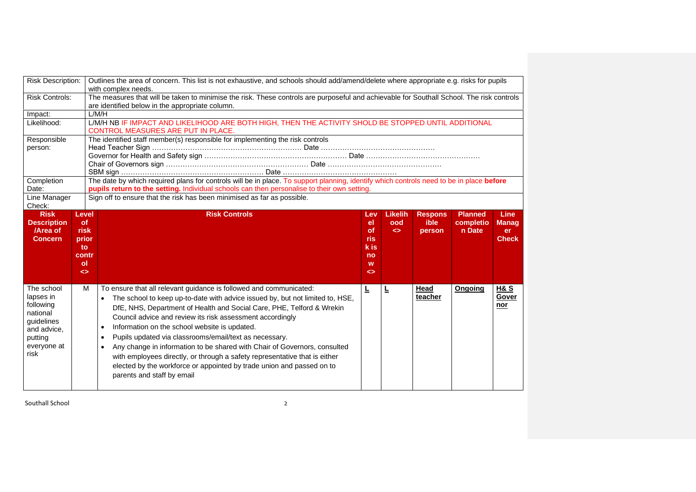| <b>Risk Description:</b>                                        |                                                                                              | Outlines the area of concern. This list is not exhaustive, and schools should add/amend/delete where appropriate e.g. risks for pupils<br>with complex needs.                                                                                                                                                     |                                                                |                                            |                                  |                                       |                                             |  |  |  |  |
|-----------------------------------------------------------------|----------------------------------------------------------------------------------------------|-------------------------------------------------------------------------------------------------------------------------------------------------------------------------------------------------------------------------------------------------------------------------------------------------------------------|----------------------------------------------------------------|--------------------------------------------|----------------------------------|---------------------------------------|---------------------------------------------|--|--|--|--|
| <b>Risk Controls:</b>                                           |                                                                                              | The measures that will be taken to minimise the risk. These controls are purposeful and achievable for Southall School. The risk controls<br>are identified below in the appropriate column.                                                                                                                      |                                                                |                                            |                                  |                                       |                                             |  |  |  |  |
| Impact:                                                         |                                                                                              | L/M/H                                                                                                                                                                                                                                                                                                             |                                                                |                                            |                                  |                                       |                                             |  |  |  |  |
| Likelihood:                                                     |                                                                                              | L/M/H NB IF IMPACT AND LIKELIHOOD ARE BOTH HIGH, THEN THE ACTIVITY SHOLD BE STOPPED UNTIL ADDITIONAL<br>CONTROL MEASURES ARE PUT IN PLACE.                                                                                                                                                                        |                                                                |                                            |                                  |                                       |                                             |  |  |  |  |
| Responsible                                                     |                                                                                              | The identified staff member(s) responsible for implementing the risk controls                                                                                                                                                                                                                                     |                                                                |                                            |                                  |                                       |                                             |  |  |  |  |
| person:                                                         |                                                                                              |                                                                                                                                                                                                                                                                                                                   |                                                                |                                            |                                  |                                       |                                             |  |  |  |  |
| Completion<br>Date:<br>Line Manager<br>Check:                   |                                                                                              | The date by which required plans for controls will be in place. To support planning, identify which controls need to be in place before<br>pupils return to the setting. Individual schools can then personalise to their own setting.<br>Sign off to ensure that the risk has been minimised as far as possible. |                                                                |                                            |                                  |                                       |                                             |  |  |  |  |
| <b>Risk</b><br><b>Description</b><br>/Area of<br><b>Concern</b> | Level<br><sub>of</sub><br>risk<br>prior<br>to<br>contr<br>$\mathsf{ol}$<br>$\leftrightarrow$ | <b>Risk Controls</b>                                                                                                                                                                                                                                                                                              | Lev<br>el<br>of<br>ris<br>k is<br>no<br>W<br>$\leftrightarrow$ | <b>Likelih</b><br>ood<br>$\leftrightarrow$ | <b>Respons</b><br>ible<br>person | <b>Planned</b><br>completio<br>n Date | Line<br><b>Manag</b><br>er.<br><b>Check</b> |  |  |  |  |
| The school<br>lapses in<br>following<br>national<br>quidelines  | м                                                                                            | To ensure that all relevant guidance is followed and communicated:<br>The school to keep up-to-date with advice issued by, but not limited to, HSE,<br>$\bullet$<br>DfE, NHS, Department of Health and Social Care, PHE, Telford & Wrekin                                                                         | Ē                                                              | 느                                          | Head<br>teacher                  | Ongoing                               | H& S<br>Gover<br>nor                        |  |  |  |  |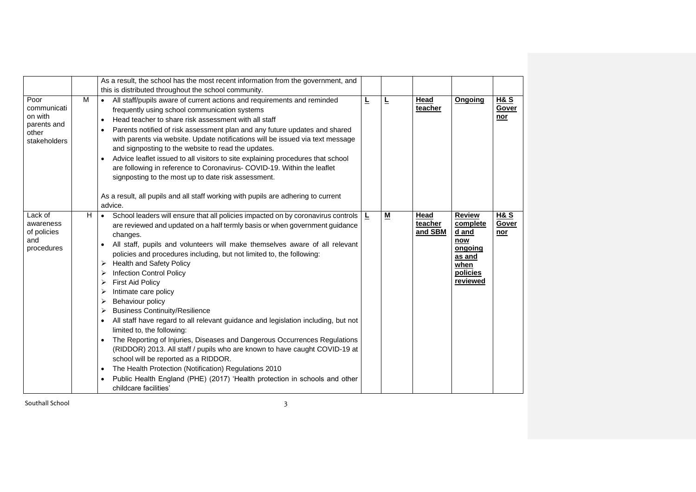|                                                                        |   | As a result, the school has the most recent information from the government, and<br>this is distributed throughout the school community.                                                                                                                                                                                                                                                                                                                                                                                                                                                                                                                                                                                                                                                                                                                                                                                                                                                                                                                   |   |                          |                            |                                                                                                |                                |
|------------------------------------------------------------------------|---|------------------------------------------------------------------------------------------------------------------------------------------------------------------------------------------------------------------------------------------------------------------------------------------------------------------------------------------------------------------------------------------------------------------------------------------------------------------------------------------------------------------------------------------------------------------------------------------------------------------------------------------------------------------------------------------------------------------------------------------------------------------------------------------------------------------------------------------------------------------------------------------------------------------------------------------------------------------------------------------------------------------------------------------------------------|---|--------------------------|----------------------------|------------------------------------------------------------------------------------------------|--------------------------------|
| Poor<br>communicati<br>on with<br>parents and<br>other<br>stakeholders | M | All staff/pupils aware of current actions and requirements and reminded<br>frequently using school communication systems<br>Head teacher to share risk assessment with all staff<br>$\bullet$<br>Parents notified of risk assessment plan and any future updates and shared<br>with parents via website. Update notifications will be issued via text message<br>and signposting to the website to read the updates.<br>Advice leaflet issued to all visitors to site explaining procedures that school<br>are following in reference to Coronavirus- COVID-19. Within the leaflet<br>signposting to the most up to date risk assessment.<br>As a result, all pupils and all staff working with pupils are adhering to current<br>advice.                                                                                                                                                                                                                                                                                                                  | L | ╘                        | Head<br>teacher            | <b>Ongoing</b>                                                                                 | <b>H&amp;S</b><br>Gover<br>nor |
| Lack of<br>awareness<br>of policies<br>and<br>procedures               | H | School leaders will ensure that all policies impacted on by coronavirus controls<br>$\bullet$<br>are reviewed and updated on a half termly basis or when government guidance<br>changes.<br>All staff, pupils and volunteers will make themselves aware of all relevant<br>policies and procedures including, but not limited to, the following:<br><b>Health and Safety Policy</b><br>➤<br><b>Infection Control Policy</b><br>➤<br><b>First Aid Policy</b><br>➤<br>Intimate care policy<br>➤<br>Behaviour policy<br>➤<br><b>Business Continuity/Resilience</b><br>➤<br>All staff have regard to all relevant guidance and legislation including, but not<br>limited to, the following:<br>The Reporting of Injuries, Diseases and Dangerous Occurrences Regulations<br>(RIDDOR) 2013. All staff / pupils who are known to have caught COVID-19 at<br>school will be reported as a RIDDOR.<br>The Health Protection (Notification) Regulations 2010<br>Public Health England (PHE) (2017) 'Health protection in schools and other<br>childcare facilities' | Ŀ | $\underline{\mathbf{M}}$ | Head<br>teacher<br>and SBM | <b>Review</b><br>complete<br>d and<br>now<br>ongoing<br>as and<br>when<br>policies<br>reviewed | H& S<br>Gover<br>$nor$         |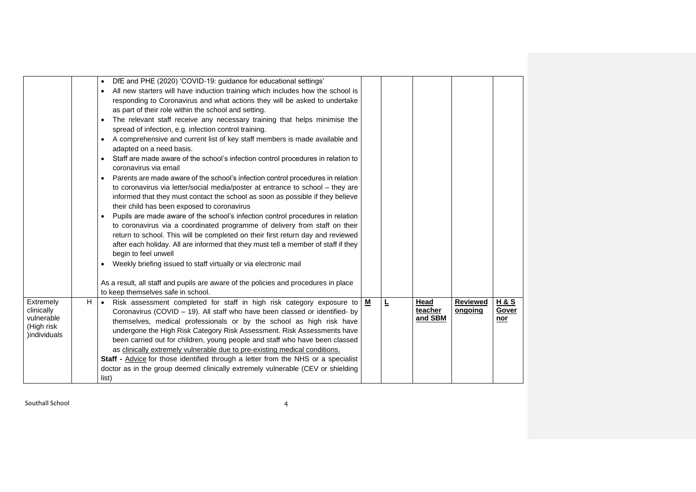| Extremely<br>H<br>clinically<br>vulnerable<br>(High risk<br>)individuals | to keep themselves safe in school.<br>Risk assessment completed for staff in high risk category exposure to<br>$\bullet$<br>Coronavirus (COVID - 19). All staff who have been classed or identified- by<br>themselves, medical professionals or by the school as high risk have<br>undergone the High Risk Category Risk Assessment. Risk Assessments have<br>been carried out for children, young people and staff who have been classed<br>as clinically extremely vulnerable due to pre-existing medical conditions.<br>Staff - Advice for those identified through a letter from the NHS or a specialist<br>doctor as in the group deemed clinically extremely vulnerable (CEV or shielding<br>list)                                                                                                                                                                                                                                                                                                                                                                                                                                                                                                                                                                                                                                                                                                                                                                                                                                                                                         | М | 느 | Head<br>teacher<br>and SBM | <b>Reviewed</b><br>ongoing | <u>H&amp;S</u><br><b>Gover</b><br>nor |
|--------------------------------------------------------------------------|--------------------------------------------------------------------------------------------------------------------------------------------------------------------------------------------------------------------------------------------------------------------------------------------------------------------------------------------------------------------------------------------------------------------------------------------------------------------------------------------------------------------------------------------------------------------------------------------------------------------------------------------------------------------------------------------------------------------------------------------------------------------------------------------------------------------------------------------------------------------------------------------------------------------------------------------------------------------------------------------------------------------------------------------------------------------------------------------------------------------------------------------------------------------------------------------------------------------------------------------------------------------------------------------------------------------------------------------------------------------------------------------------------------------------------------------------------------------------------------------------------------------------------------------------------------------------------------------------|---|---|----------------------------|----------------------------|---------------------------------------|
|                                                                          | DfE and PHE (2020) 'COVID-19: guidance for educational settings'<br>$\bullet$<br>All new starters will have induction training which includes how the school is<br>$\bullet$<br>responding to Coronavirus and what actions they will be asked to undertake<br>as part of their role within the school and setting.<br>The relevant staff receive any necessary training that helps minimise the<br>$\bullet$<br>spread of infection, e.g. infection control training.<br>A comprehensive and current list of key staff members is made available and<br>$\bullet$<br>adapted on a need basis.<br>Staff are made aware of the school's infection control procedures in relation to<br>$\bullet$<br>coronavirus via email<br>Parents are made aware of the school's infection control procedures in relation<br>$\bullet$<br>to coronavirus via letter/social media/poster at entrance to school - they are<br>informed that they must contact the school as soon as possible if they believe<br>their child has been exposed to coronavirus<br>Pupils are made aware of the school's infection control procedures in relation<br>$\bullet$<br>to coronavirus via a coordinated programme of delivery from staff on their<br>return to school. This will be completed on their first return day and reviewed<br>after each holiday. All are informed that they must tell a member of staff if they<br>begin to feel unwell<br>Weekly briefing issued to staff virtually or via electronic mail<br>$\bullet$<br>As a result, all staff and pupils are aware of the policies and procedures in place |   |   |                            |                            |                                       |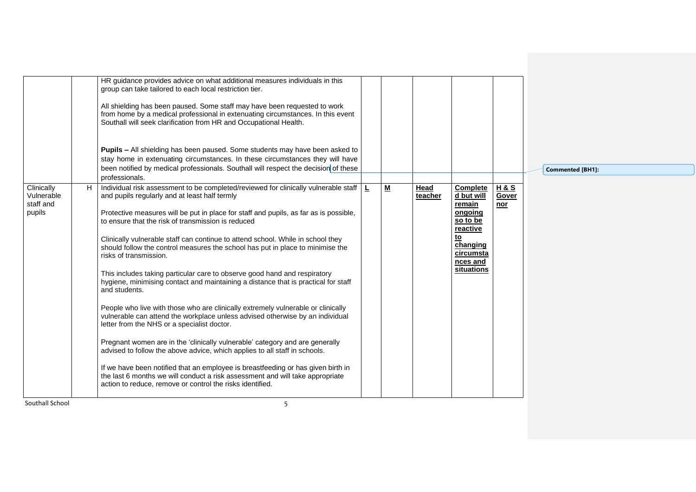|                          | HR guidance provides advice on what additional measures individuals in this                                                                                                                                                       |                          |                 |                                                |                         |                         |
|--------------------------|-----------------------------------------------------------------------------------------------------------------------------------------------------------------------------------------------------------------------------------|--------------------------|-----------------|------------------------------------------------|-------------------------|-------------------------|
|                          | group can take tailored to each local restriction tier.                                                                                                                                                                           |                          |                 |                                                |                         |                         |
|                          | All shielding has been paused. Some staff may have been requested to work<br>from home by a medical professional in extenuating circumstances. In this event<br>Southall will seek clarification from HR and Occupational Health. |                          |                 |                                                |                         |                         |
|                          | <b>Pupils - All shielding has been paused. Some students may have been asked to</b>                                                                                                                                               |                          |                 |                                                |                         |                         |
|                          | stay home in extenuating circumstances. In these circumstances they will have<br>been notified by medical professionals. Southall will respect the decision of these<br>professionals.                                            |                          |                 |                                                |                         | <b>Commented [BH1]:</b> |
| Clinically<br>Vulnerable | $\vert$ Individual risk assessment to be completed/reviewed for clinically vulnerable staff $\vert$ $\vert$<br>and pupils regularly and at least half termly                                                                      | $\underline{\mathbf{M}}$ | Head<br>teacher | Complete<br>d but will                         | <u>H&amp;S</u><br>Gover |                         |
| staff and<br>pupils      | Protective measures will be put in place for staff and pupils, as far as is possible,<br>to ensure that the risk of transmission is reduced                                                                                       |                          |                 | remain<br>ongoing<br>so to be<br>reactive      | nor                     |                         |
|                          | Clinically vulnerable staff can continue to attend school. While in school they<br>should follow the control measures the school has put in place to minimise the<br>risks of transmission.                                       |                          |                 | <u>to</u><br>changing<br>circumsta<br>nces and |                         |                         |
|                          | This includes taking particular care to observe good hand and respiratory<br>hygiene, minimising contact and maintaining a distance that is practical for staff<br>and students.                                                  |                          |                 | situations                                     |                         |                         |
|                          | People who live with those who are clinically extremely vulnerable or clinically<br>vulnerable can attend the workplace unless advised otherwise by an individual<br>letter from the NHS or a specialist doctor.                  |                          |                 |                                                |                         |                         |
|                          | Pregnant women are in the 'clinically vulnerable' category and are generally<br>advised to follow the above advice, which applies to all staff in schools.                                                                        |                          |                 |                                                |                         |                         |
|                          | If we have been notified that an employee is breastfeeding or has given birth in<br>the last 6 months we will conduct a risk assessment and will take appropriate<br>action to reduce, remove or control the risks identified.    |                          |                 |                                                |                         |                         |
| Southall School          | 5                                                                                                                                                                                                                                 |                          |                 |                                                |                         |                         |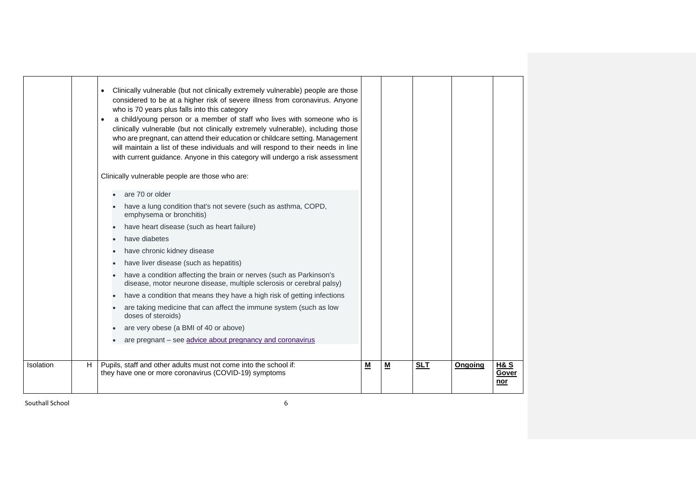|           |   | Clinically vulnerable (but not clinically extremely vulnerable) people are those<br>considered to be at a higher risk of severe illness from coronavirus. Anyone<br>who is 70 years plus falls into this category<br>a child/young person or a member of staff who lives with someone who is<br>clinically vulnerable (but not clinically extremely vulnerable), including those<br>who are pregnant, can attend their education or childcare setting. Management<br>will maintain a list of these individuals and will respond to their needs in line<br>with current guidance. Anyone in this category will undergo a risk assessment<br>Clinically vulnerable people are those who are:<br>• are 70 or older<br>have a lung condition that's not severe (such as asthma, COPD,<br>emphysema or bronchitis)<br>have heart disease (such as heart failure)<br>have diabetes<br>have chronic kidney disease<br>have liver disease (such as hepatitis)<br>have a condition affecting the brain or nerves (such as Parkinson's<br>disease, motor neurone disease, multiple sclerosis or cerebral palsy)<br>have a condition that means they have a high risk of getting infections<br>are taking medicine that can affect the immune system (such as low<br>doses of steroids)<br>are very obese (a BMI of 40 or above)<br>are pregnant – see advice about pregnancy and coronavirus |   |   |            |         |                                |
|-----------|---|------------------------------------------------------------------------------------------------------------------------------------------------------------------------------------------------------------------------------------------------------------------------------------------------------------------------------------------------------------------------------------------------------------------------------------------------------------------------------------------------------------------------------------------------------------------------------------------------------------------------------------------------------------------------------------------------------------------------------------------------------------------------------------------------------------------------------------------------------------------------------------------------------------------------------------------------------------------------------------------------------------------------------------------------------------------------------------------------------------------------------------------------------------------------------------------------------------------------------------------------------------------------------------------------------------------------------------------------------------------------------------|---|---|------------|---------|--------------------------------|
| Isolation | н | Pupils, staff and other adults must not come into the school if:<br>they have one or more coronavirus (COVID-19) symptoms                                                                                                                                                                                                                                                                                                                                                                                                                                                                                                                                                                                                                                                                                                                                                                                                                                                                                                                                                                                                                                                                                                                                                                                                                                                          | M | − | <b>SLT</b> | Ongoing | <b>H&amp;S</b><br>Gover<br>nor |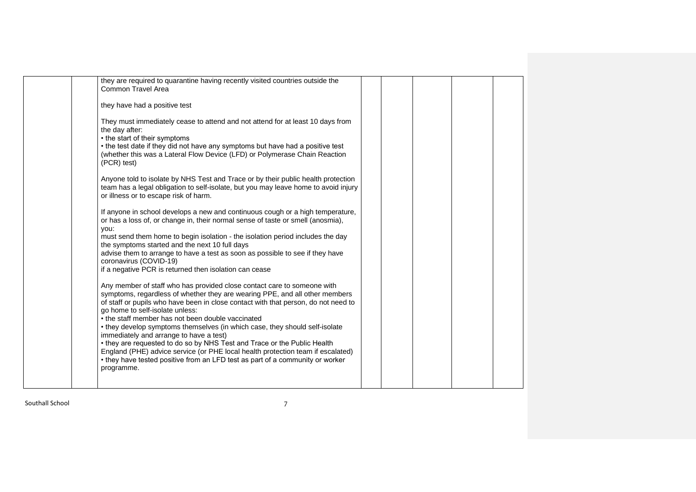| they are required to quarantine having recently visited countries outside the<br>Common Travel Area                                                                                                                                                                                                                                                                                                                                                                                                                                                                                                                                                                                                                          |  |  |
|------------------------------------------------------------------------------------------------------------------------------------------------------------------------------------------------------------------------------------------------------------------------------------------------------------------------------------------------------------------------------------------------------------------------------------------------------------------------------------------------------------------------------------------------------------------------------------------------------------------------------------------------------------------------------------------------------------------------------|--|--|
| they have had a positive test                                                                                                                                                                                                                                                                                                                                                                                                                                                                                                                                                                                                                                                                                                |  |  |
| They must immediately cease to attend and not attend for at least 10 days from<br>the day after:<br>• the start of their symptoms<br>• the test date if they did not have any symptoms but have had a positive test<br>(whether this was a Lateral Flow Device (LFD) or Polymerase Chain Reaction<br>(PCR) test)                                                                                                                                                                                                                                                                                                                                                                                                             |  |  |
| Anyone told to isolate by NHS Test and Trace or by their public health protection<br>team has a legal obligation to self-isolate, but you may leave home to avoid injury<br>or illness or to escape risk of harm.                                                                                                                                                                                                                                                                                                                                                                                                                                                                                                            |  |  |
| If anyone in school develops a new and continuous cough or a high temperature,<br>or has a loss of, or change in, their normal sense of taste or smell (anosmia),<br>you:<br>must send them home to begin isolation - the isolation period includes the day<br>the symptoms started and the next 10 full days<br>advise them to arrange to have a test as soon as possible to see if they have<br>coronavirus (COVID-19)<br>if a negative PCR is returned then isolation can cease                                                                                                                                                                                                                                           |  |  |
| Any member of staff who has provided close contact care to someone with<br>symptoms, regardless of whether they are wearing PPE, and all other members<br>of staff or pupils who have been in close contact with that person, do not need to<br>go home to self-isolate unless:<br>• the staff member has not been double vaccinated<br>• they develop symptoms themselves (in which case, they should self-isolate<br>immediately and arrange to have a test)<br>• they are requested to do so by NHS Test and Trace or the Public Health<br>England (PHE) advice service (or PHE local health protection team if escalated)<br>• they have tested positive from an LFD test as part of a community or worker<br>programme. |  |  |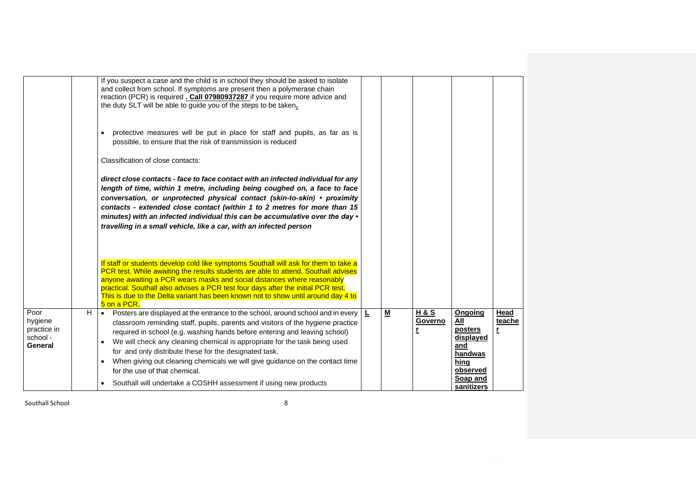|                                                       |   | If you suspect a case and the child is in school they should be asked to isolate<br>and collect from school. If symptoms are present then a polymerase chain<br>reaction (PCR) is required . Call 07980937287 if you require more advice and<br>the duty SLT will be able to guide you of the steps to be taken.                                                                                                                                                                                                                                                                                        |    |   |                                |                                                                                                        |                     |
|-------------------------------------------------------|---|---------------------------------------------------------------------------------------------------------------------------------------------------------------------------------------------------------------------------------------------------------------------------------------------------------------------------------------------------------------------------------------------------------------------------------------------------------------------------------------------------------------------------------------------------------------------------------------------------------|----|---|--------------------------------|--------------------------------------------------------------------------------------------------------|---------------------|
|                                                       |   | protective measures will be put in place for staff and pupils, as far as is<br>$\bullet$<br>possible, to ensure that the risk of transmission is reduced                                                                                                                                                                                                                                                                                                                                                                                                                                                |    |   |                                |                                                                                                        |                     |
|                                                       |   | Classification of close contacts:                                                                                                                                                                                                                                                                                                                                                                                                                                                                                                                                                                       |    |   |                                |                                                                                                        |                     |
|                                                       |   | direct close contacts - face to face contact with an infected individual for any<br>length of time, within 1 metre, including being coughed on, a face to face<br>conversation, or unprotected physical contact (skin-to-skin) • proximity<br>contacts - extended close contact (within 1 to 2 metres for more than 15<br>minutes) with an infected individual this can be accumulative over the day $\cdot$<br>travelling in a small vehicle, like a car, with an infected person                                                                                                                      |    |   |                                |                                                                                                        |                     |
|                                                       |   | If staff or students develop cold like symptoms Southall will ask for them to take a<br>PCR test. While awaiting the results students are able to attend. Southall advises<br>anyone awaiting a PCR wears masks and social distances where reasonably<br>practical. Southall also advises a PCR test four days after the initial PCR test.<br>This is due to the Delta variant has been known not to show until around day 4 to<br>5 on a PCR.                                                                                                                                                          |    |   |                                |                                                                                                        |                     |
| Poor<br>hygiene<br>practice in<br>school -<br>General | Н | Posters are displayed at the entrance to the school, around school and in every<br>$\bullet$<br>classroom reminding staff, pupils, parents and visitors of the hygiene practice<br>required in school (e.g. washing hands before entering and leaving school)<br>We will check any cleaning chemical is appropriate for the task being used<br>$\bullet$<br>for and only distribute these for the designated task.<br>When giving out cleaning chemicals we will give guidance on the contact time<br>for the use of that chemical.<br>Southall will undertake a COSHH assessment if using new products | L, | M | <b>H&amp;S</b><br>Governo<br>r | Ongoing<br>All<br>posters<br>displayed<br>and<br>handwas<br>hing<br>observed<br>Soap and<br>sanitizers | Head<br>teache<br>r |

 $\sim 10^{11}$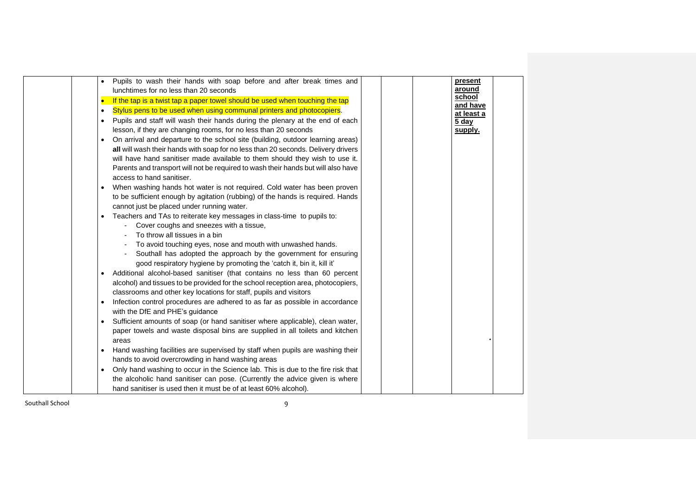|           | Pupils to wash their hands with soap before and after break times and<br>lunchtimes for no less than 20 seconds |  | present<br>around   |  |
|-----------|-----------------------------------------------------------------------------------------------------------------|--|---------------------|--|
| $\bullet$ | If the tap is a twist tap a paper towel should be used when touching the tap                                    |  | school              |  |
| $\bullet$ | Stylus pens to be used when using communal printers and photocopiers.                                           |  | and have            |  |
| $\bullet$ | Pupils and staff will wash their hands during the plenary at the end of each                                    |  | at least a<br>5 day |  |
|           | lesson, if they are changing rooms, for no less than 20 seconds                                                 |  | supply.             |  |
| $\bullet$ | On arrival and departure to the school site (building, outdoor learning areas)                                  |  |                     |  |
|           | all will wash their hands with soap for no less than 20 seconds. Delivery drivers                               |  |                     |  |
|           | will have hand sanitiser made available to them should they wish to use it.                                     |  |                     |  |
|           | Parents and transport will not be required to wash their hands but will also have                               |  |                     |  |
|           | access to hand sanitiser.                                                                                       |  |                     |  |
|           | When washing hands hot water is not required. Cold water has been proven                                        |  |                     |  |
|           | to be sufficient enough by agitation (rubbing) of the hands is required. Hands                                  |  |                     |  |
|           | cannot just be placed under running water.                                                                      |  |                     |  |
|           | Teachers and TAs to reiterate key messages in class-time to pupils to:                                          |  |                     |  |
|           | Cover coughs and sneezes with a tissue,                                                                         |  |                     |  |
|           | To throw all tissues in a bin                                                                                   |  |                     |  |
|           | To avoid touching eyes, nose and mouth with unwashed hands.                                                     |  |                     |  |
|           | Southall has adopted the approach by the government for ensuring                                                |  |                     |  |
|           | good respiratory hygiene by promoting the 'catch it, bin it, kill it'                                           |  |                     |  |
|           | Additional alcohol-based sanitiser (that contains no less than 60 percent                                       |  |                     |  |
|           | alcohol) and tissues to be provided for the school reception area, photocopiers,                                |  |                     |  |
|           | classrooms and other key locations for staff, pupils and visitors                                               |  |                     |  |
| ٠         | Infection control procedures are adhered to as far as possible in accordance                                    |  |                     |  |
|           | with the DfE and PHE's guidance                                                                                 |  |                     |  |
|           | Sufficient amounts of soap (or hand sanitiser where applicable), clean water,                                   |  |                     |  |
|           | paper towels and waste disposal bins are supplied in all toilets and kitchen                                    |  |                     |  |
|           | areas                                                                                                           |  |                     |  |
|           | Hand washing facilities are supervised by staff when pupils are washing their                                   |  |                     |  |
|           | hands to avoid overcrowding in hand washing areas                                                               |  |                     |  |
|           | Only hand washing to occur in the Science lab. This is due to the fire risk that                                |  |                     |  |
|           | the alcoholic hand sanitiser can pose. (Currently the advice given is where                                     |  |                     |  |
|           | hand sanitiser is used then it must be of at least 60% alcohol).                                                |  |                     |  |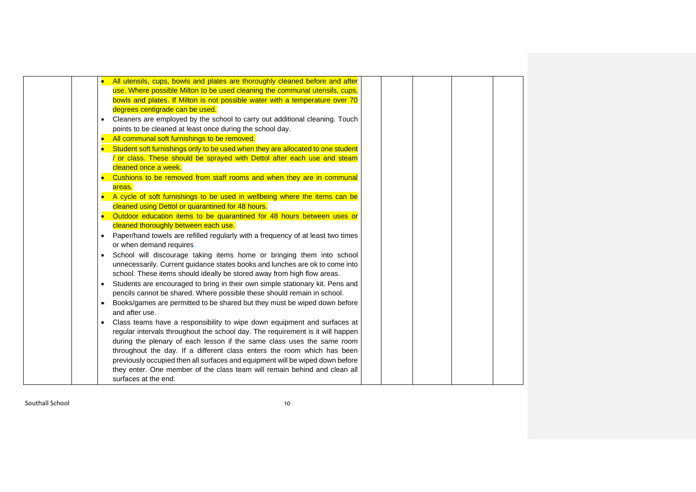|             | All utensils, cups, bowls and plates are thoroughly cleaned before and after    |
|-------------|---------------------------------------------------------------------------------|
|             | use. Where possible Milton to be used cleaning the communal utensils, cups,     |
|             | bowls and plates. If Milton is not possible water with a temperature over 70    |
|             | degrees centigrade can be used.                                                 |
|             | Cleaners are employed by the school to carry out additional cleaning. Touch     |
|             | points to be cleaned at least once during the school day.                       |
| $\bullet$   | All communal soft furnishings to be removed.                                    |
| $\bullet$   | Student soft furnishings only to be used when they are allocated to one student |
|             | or class. These should be sprayed with Dettol after each use and steam          |
|             | cleaned once a week.                                                            |
| $\bullet$   | Cushions to be removed from staff rooms and when they are in communal           |
|             | areas.                                                                          |
| $\bullet$ . | A cycle of soft furnishings to be used in wellbeing where the items can be      |
|             | cleaned using Dettol or quarantined for 48 hours.                               |
| $\bullet$   | Outdoor education items to be quarantined for 48 hours between uses or          |
|             | cleaned thoroughly between each use.                                            |
|             | Paper/hand towels are refilled regularly with a frequency of at least two times |
|             | or when demand requires.                                                        |
| $\bullet$   | School will discourage taking items home or bringing them into school           |
|             | unnecessarily. Current guidance states books and lunches are ok to come into    |
|             | school. These items should ideally be stored away from high flow areas.         |
| $\bullet$   | Students are encouraged to bring in their own simple stationary kit. Pens and   |
|             | pencils cannot be shared. Where possible these should remain in school.         |
|             | Books/games are permitted to be shared but they must be wiped down before       |
|             | and after use.                                                                  |
|             | Class teams have a responsibility to wipe down equipment and surfaces at        |
|             | regular intervals throughout the school day. The requirement is it will happen  |
|             | during the plenary of each lesson if the same class uses the same room          |
|             | throughout the day. If a different class enters the room which has been         |
|             | previously occupied then all surfaces and equipment will be wiped down before   |
|             | they enter. One member of the class team will remain behind and clean all       |
|             | surfaces at the end.                                                            |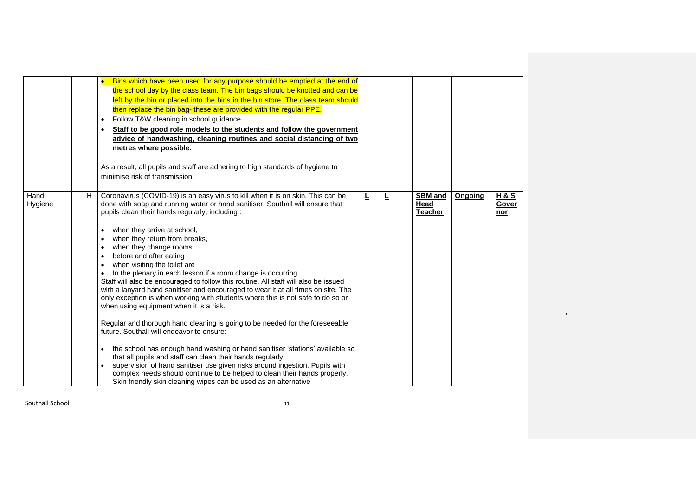|                 |    | Bins which have been used for any purpose should be emptied at the end of<br>the school day by the class team. The bin bags should be knotted and can be<br>left by the bin or placed into the bins in the bin store. The class team should<br>then replace the bin bag- these are provided with the regular PPE.<br>Follow T&W cleaning in school guidance<br>Staff to be good role models to the students and follow the government<br>advice of handwashing, cleaning routines and social distancing of two<br>metres where possible.<br>As a result, all pupils and staff are adhering to high standards of hygiene to<br>minimise risk of transmission.                                                                                                                                                                                                                                                                                                                                                                                                                                                                                                                                                                                              |   |   |                                          |         |                                |
|-----------------|----|-----------------------------------------------------------------------------------------------------------------------------------------------------------------------------------------------------------------------------------------------------------------------------------------------------------------------------------------------------------------------------------------------------------------------------------------------------------------------------------------------------------------------------------------------------------------------------------------------------------------------------------------------------------------------------------------------------------------------------------------------------------------------------------------------------------------------------------------------------------------------------------------------------------------------------------------------------------------------------------------------------------------------------------------------------------------------------------------------------------------------------------------------------------------------------------------------------------------------------------------------------------|---|---|------------------------------------------|---------|--------------------------------|
| Hand<br>Hygiene | H. | Coronavirus (COVID-19) is an easy virus to kill when it is on skin. This can be<br>done with soap and running water or hand sanitiser. Southall will ensure that<br>pupils clean their hands regularly, including:<br>when they arrive at school,<br>when they return from breaks,<br>when they change rooms<br>before and after eating<br>when visiting the toilet are<br>In the plenary in each lesson if a room change is occurring<br>Staff will also be encouraged to follow this routine. All staff will also be issued<br>with a lanyard hand sanitiser and encouraged to wear it at all times on site. The<br>only exception is when working with students where this is not safe to do so or<br>when using equipment when it is a risk.<br>Regular and thorough hand cleaning is going to be needed for the foreseeable<br>future. Southall will endeavor to ensure:<br>the school has enough hand washing or hand sanitiser 'stations' available so<br>that all pupils and staff can clean their hands regularly<br>supervision of hand sanitiser use given risks around ingestion. Pupils with<br>complex needs should continue to be helped to clean their hands properly.<br>Skin friendly skin cleaning wipes can be used as an alternative | L | Ŀ | <b>SBM</b> and<br>Head<br><b>Teacher</b> | Ongoing | <b>H&amp;S</b><br>Gover<br>nor |

 $\bullet$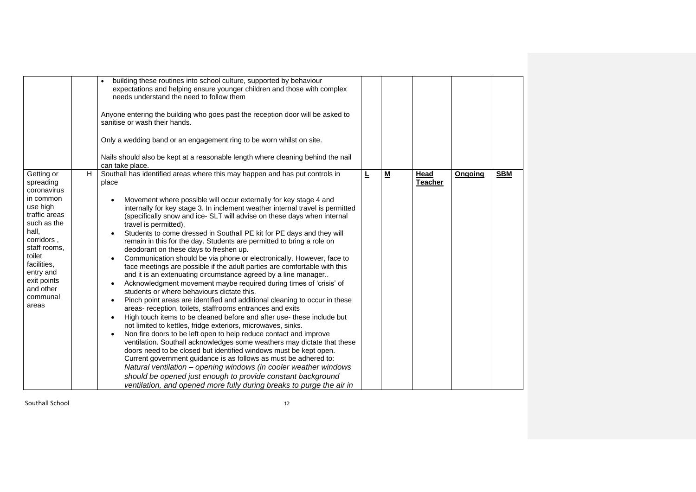|                                                                                                                                                                                                                                    | building these routines into school culture, supported by behaviour<br>expectations and helping ensure younger children and those with complex<br>needs understand the need to follow them<br>Anyone entering the building who goes past the reception door will be asked to<br>sanitise or wash their hands.<br>Only a wedding band or an engagement ring to be worn whilst on site.<br>Nails should also be kept at a reasonable length where cleaning behind the nail<br>can take place.                                                                                                                                                                                                                                                                                                                                                                                                                                                                                                                                                                                                                                                                                                                                                                                                                                                                                                                                                                                                                                                                                                                                                                                    |   |                          |                        |         |            |
|------------------------------------------------------------------------------------------------------------------------------------------------------------------------------------------------------------------------------------|--------------------------------------------------------------------------------------------------------------------------------------------------------------------------------------------------------------------------------------------------------------------------------------------------------------------------------------------------------------------------------------------------------------------------------------------------------------------------------------------------------------------------------------------------------------------------------------------------------------------------------------------------------------------------------------------------------------------------------------------------------------------------------------------------------------------------------------------------------------------------------------------------------------------------------------------------------------------------------------------------------------------------------------------------------------------------------------------------------------------------------------------------------------------------------------------------------------------------------------------------------------------------------------------------------------------------------------------------------------------------------------------------------------------------------------------------------------------------------------------------------------------------------------------------------------------------------------------------------------------------------------------------------------------------------|---|--------------------------|------------------------|---------|------------|
| Getting or<br>H<br>spreading<br>coronavirus<br>in common<br>use high<br>traffic areas<br>such as the<br>hall,<br>corridors,<br>staff rooms,<br>toilet<br>facilities,<br>entry and<br>exit points<br>and other<br>communal<br>areas | Southall has identified areas where this may happen and has put controls in<br>place<br>Movement where possible will occur externally for key stage 4 and<br>internally for key stage 3. In inclement weather internal travel is permitted<br>(specifically snow and ice- SLT will advise on these days when internal<br>travel is permitted),<br>Students to come dressed in Southall PE kit for PE days and they will<br>remain in this for the day. Students are permitted to bring a role on<br>deodorant on these days to freshen up.<br>Communication should be via phone or electronically. However, face to<br>face meetings are possible if the adult parties are comfortable with this<br>and it is an extenuating circumstance agreed by a line manager<br>Acknowledgment movement maybe required during times of 'crisis' of<br>students or where behaviours dictate this.<br>Pinch point areas are identified and additional cleaning to occur in these<br>areas- reception, toilets, staffrooms entrances and exits<br>High touch items to be cleaned before and after use-these include but<br>not limited to kettles, fridge exteriors, microwaves, sinks.<br>Non fire doors to be left open to help reduce contact and improve<br>ventilation. Southall acknowledges some weathers may dictate that these<br>doors need to be closed but identified windows must be kept open.<br>Current government guidance is as follows as must be adhered to:<br>Natural ventilation – opening windows (in cooler weather windows<br>should be opened just enough to provide constant background<br>ventilation, and opened more fully during breaks to purge the air in | L | $\underline{\mathsf{M}}$ | Head<br><b>Teacher</b> | Ongoing | <b>SBM</b> |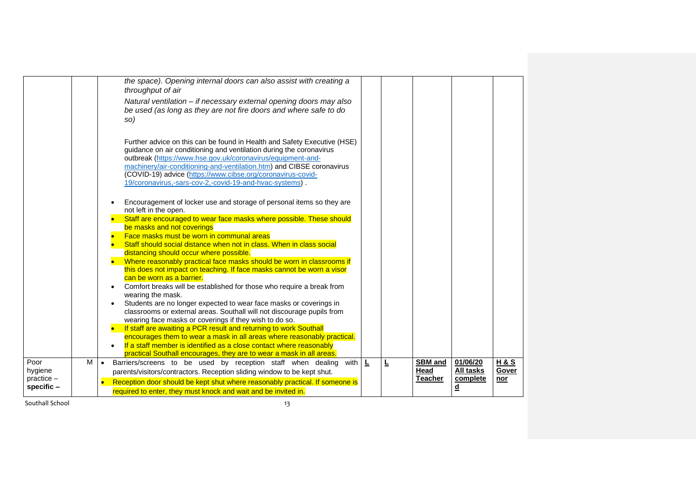|                                 | the space). Opening internal doors can also assist with creating a<br>throughput of air                                                                                                                                                                                                                                                                                                                           |   |   |                |                          |                |
|---------------------------------|-------------------------------------------------------------------------------------------------------------------------------------------------------------------------------------------------------------------------------------------------------------------------------------------------------------------------------------------------------------------------------------------------------------------|---|---|----------------|--------------------------|----------------|
|                                 | Natural ventilation - if necessary external opening doors may also<br>be used (as long as they are not fire doors and where safe to do<br>so)                                                                                                                                                                                                                                                                     |   |   |                |                          |                |
|                                 | Further advice on this can be found in Health and Safety Executive (HSE)<br>guidance on air conditioning and ventilation during the coronavirus<br>outbreak (https://www.hse.gov.uk/coronavirus/equipment-and-<br>machinery/air-conditioning-and-ventilation.htm) and CIBSE coronavirus<br>(COVID-19) advice (https://www.cibse.org/coronavirus-covid-<br>19/coronavirus,-sars-cov-2,-covid-19-and-hvac-systems). |   |   |                |                          |                |
|                                 | Encouragement of locker use and storage of personal items so they are<br>not left in the open.                                                                                                                                                                                                                                                                                                                    |   |   |                |                          |                |
|                                 | Staff are encouraged to wear face masks where possible. These should<br>be masks and not coverings                                                                                                                                                                                                                                                                                                                |   |   |                |                          |                |
|                                 | Face masks must be worn in communal areas                                                                                                                                                                                                                                                                                                                                                                         |   |   |                |                          |                |
|                                 | Staff should social distance when not in class. When in class social                                                                                                                                                                                                                                                                                                                                              |   |   |                |                          |                |
|                                 | distancing should occur where possible.<br>Where reasonably practical face masks should be worn in classrooms if                                                                                                                                                                                                                                                                                                  |   |   |                |                          |                |
|                                 | this does not impact on teaching. If face masks cannot be worn a visor<br>can be worn as a barrier.                                                                                                                                                                                                                                                                                                               |   |   |                |                          |                |
|                                 | Comfort breaks will be established for those who require a break from<br>wearing the mask.                                                                                                                                                                                                                                                                                                                        |   |   |                |                          |                |
|                                 | Students are no longer expected to wear face masks or coverings in<br>classrooms or external areas. Southall will not discourage pupils from<br>wearing face masks or coverings if they wish to do so.                                                                                                                                                                                                            |   |   |                |                          |                |
|                                 | If staff are awaiting a PCR result and returning to work Southall                                                                                                                                                                                                                                                                                                                                                 |   |   |                |                          |                |
|                                 | encourages them to wear a mask in all areas where reasonably practical.                                                                                                                                                                                                                                                                                                                                           |   |   |                |                          |                |
|                                 | If a staff member is identified as a close contact where reasonably<br>practical Southall encourages, they are to wear a mask in all areas.                                                                                                                                                                                                                                                                       |   |   |                |                          |                |
| Poor<br>$\overline{\mathsf{M}}$ | Barriers/screens to be used by reception staff when dealing<br>with I<br>$\bullet$                                                                                                                                                                                                                                                                                                                                | L | L | <b>SBM</b> and | 01/06/20                 | <b>H&amp;S</b> |
| hygiene                         | parents/visitors/contractors. Reception sliding window to be kept shut.                                                                                                                                                                                                                                                                                                                                           |   |   | Head           | All tasks                | Gover          |
| practice -<br>specific -        | Reception door should be kept shut where reasonably practical. If someone is<br>$\bullet$                                                                                                                                                                                                                                                                                                                         |   |   | <b>Teacher</b> | complete                 | nor            |
|                                 | required to enter, they must knock and wait and be invited in.                                                                                                                                                                                                                                                                                                                                                    |   |   |                | $\underline{\mathsf{d}}$ |                |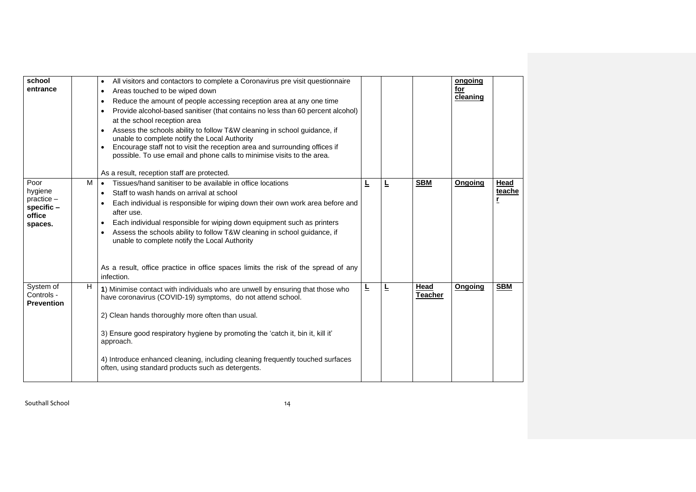| school<br>entrance                                                 |   | All visitors and contactors to complete a Coronavirus pre visit questionnaire<br>$\bullet$<br>Areas touched to be wiped down<br>$\bullet$<br>Reduce the amount of people accessing reception area at any one time<br>$\bullet$<br>Provide alcohol-based sanitiser (that contains no less than 60 percent alcohol)<br>$\bullet$<br>at the school reception area<br>Assess the schools ability to follow T&W cleaning in school guidance, if<br>unable to complete notify the Local Authority<br>Encourage staff not to visit the reception area and surrounding offices if<br>possible. To use email and phone calls to minimise visits to the area. |   |   |                        | ongoing<br>for<br>cleaning |                |
|--------------------------------------------------------------------|---|-----------------------------------------------------------------------------------------------------------------------------------------------------------------------------------------------------------------------------------------------------------------------------------------------------------------------------------------------------------------------------------------------------------------------------------------------------------------------------------------------------------------------------------------------------------------------------------------------------------------------------------------------------|---|---|------------------------|----------------------------|----------------|
| Poor<br>hygiene<br>$practive -$<br>specific -<br>office<br>spaces. | м | As a result, reception staff are protected.<br>Tissues/hand sanitiser to be available in office locations<br>$\bullet$<br>Staff to wash hands on arrival at school<br>Each individual is responsible for wiping down their own work area before and<br>after use.<br>Each individual responsible for wiping down equipment such as printers<br>$\bullet$<br>Assess the schools ability to follow T&W cleaning in school guidance, if<br>unable to complete notify the Local Authority<br>As a result, office practice in office spaces limits the risk of the spread of any<br>infection.                                                           | Ē | ╚ | <b>SBM</b>             | Ongoing                    | Head<br>teache |
| System of<br>Controls -<br><b>Prevention</b>                       | H | 1) Minimise contact with individuals who are unwell by ensuring that those who<br>have coronavirus (COVID-19) symptoms, do not attend school.<br>2) Clean hands thoroughly more often than usual.<br>3) Ensure good respiratory hygiene by promoting the 'catch it, bin it, kill it'<br>approach.<br>4) Introduce enhanced cleaning, including cleaning frequently touched surfaces<br>often, using standard products such as detergents.                                                                                                                                                                                                           | Ē | Ŀ | Head<br><b>Teacher</b> | Ongoing                    | <b>SBM</b>     |

Southall School 2014 14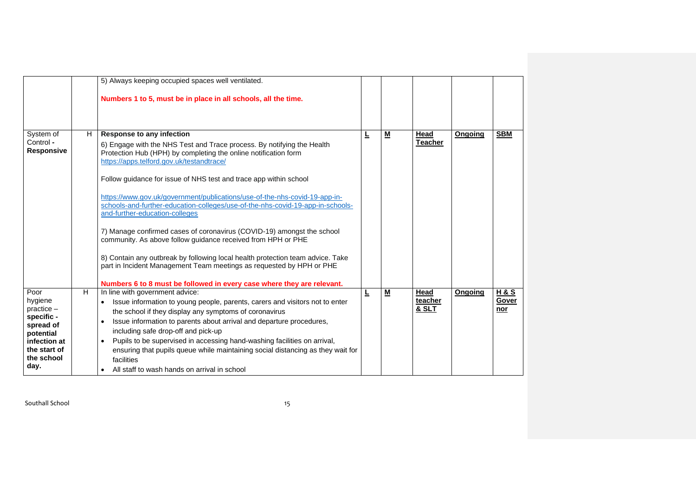|                                                                                                                               |    | 5) Always keeping occupied spaces well ventilated.                                                                                                                                                                                                                                                                                                                                                                                                                                                                                                                                                                                                                                                                                                                                                                                                                              |    |                          |                          |                |                                |
|-------------------------------------------------------------------------------------------------------------------------------|----|---------------------------------------------------------------------------------------------------------------------------------------------------------------------------------------------------------------------------------------------------------------------------------------------------------------------------------------------------------------------------------------------------------------------------------------------------------------------------------------------------------------------------------------------------------------------------------------------------------------------------------------------------------------------------------------------------------------------------------------------------------------------------------------------------------------------------------------------------------------------------------|----|--------------------------|--------------------------|----------------|--------------------------------|
|                                                                                                                               |    | Numbers 1 to 5, must be in place in all schools, all the time.                                                                                                                                                                                                                                                                                                                                                                                                                                                                                                                                                                                                                                                                                                                                                                                                                  |    |                          |                          |                |                                |
| System of<br>Control -<br><b>Responsive</b>                                                                                   | H. | <b>Response to any infection</b><br>6) Engage with the NHS Test and Trace process. By notifying the Health<br>Protection Hub (HPH) by completing the online notification form<br>https://apps.telford.gov.uk/testandtrace/<br>Follow guidance for issue of NHS test and trace app within school<br>https://www.gov.uk/government/publications/use-of-the-nhs-covid-19-app-in-<br>schools-and-further-education-colleges/use-of-the-nhs-covid-19-app-in-schools-<br>and-further-education-colleges<br>7) Manage confirmed cases of coronavirus (COVID-19) amongst the school<br>community. As above follow guidance received from HPH or PHE<br>8) Contain any outbreak by following local health protection team advice. Take<br>part in Incident Management Team meetings as requested by HPH or PHE<br>Numbers 6 to 8 must be followed in every case where they are relevant. | 느  | M                        | Head<br><b>Teacher</b>   | Ongoing        | <b>SBM</b>                     |
| Poor<br>hygiene<br>$practive -$<br>specific -<br>spread of<br>potential<br>infection at<br>the start of<br>the school<br>day. | H  | In line with government advice:<br>Issue information to young people, parents, carers and visitors not to enter<br>$\bullet$<br>the school if they display any symptoms of coronavirus<br>Issue information to parents about arrival and departure procedures,<br>including safe drop-off and pick-up<br>Pupils to be supervised in accessing hand-washing facilities on arrival,<br>ensuring that pupils queue while maintaining social distancing as they wait for<br>facilities<br>All staff to wash hands on arrival in school                                                                                                                                                                                                                                                                                                                                              | Ŧ. | $\underline{\mathsf{M}}$ | Head<br>teacher<br>& SLT | <b>Ongoing</b> | <b>H&amp;S</b><br>Gover<br>nor |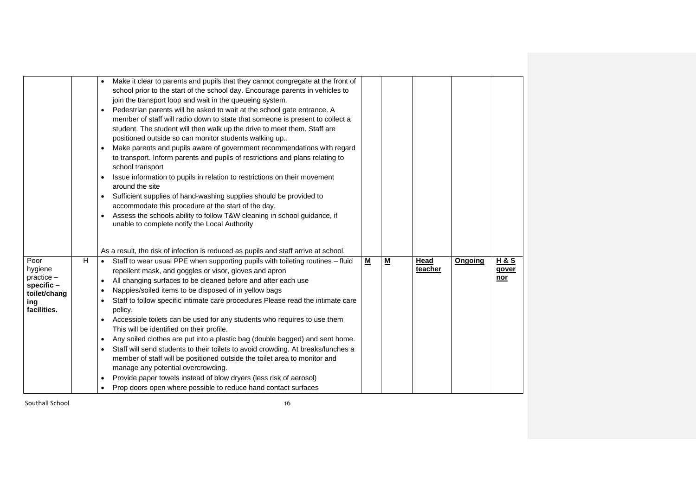|                                                                                          | Make it clear to parents and pupils that they cannot congregate at the front of<br>$\bullet$<br>school prior to the start of the school day. Encourage parents in vehicles to<br>join the transport loop and wait in the queueing system.<br>Pedestrian parents will be asked to wait at the school gate entrance. A<br>member of staff will radio down to state that someone is present to collect a<br>student. The student will then walk up the drive to meet them. Staff are<br>positioned outside so can monitor students walking up<br>Make parents and pupils aware of government recommendations with regard<br>to transport. Inform parents and pupils of restrictions and plans relating to<br>school transport<br>Issue information to pupils in relation to restrictions on their movement<br>$\bullet$<br>around the site<br>Sufficient supplies of hand-washing supplies should be provided to<br>accommodate this procedure at the start of the day.<br>Assess the schools ability to follow T&W cleaning in school guidance, if<br>$\bullet$<br>unable to complete notify the Local Authority |   |                          |                 |         |                                       |
|------------------------------------------------------------------------------------------|----------------------------------------------------------------------------------------------------------------------------------------------------------------------------------------------------------------------------------------------------------------------------------------------------------------------------------------------------------------------------------------------------------------------------------------------------------------------------------------------------------------------------------------------------------------------------------------------------------------------------------------------------------------------------------------------------------------------------------------------------------------------------------------------------------------------------------------------------------------------------------------------------------------------------------------------------------------------------------------------------------------------------------------------------------------------------------------------------------------|---|--------------------------|-----------------|---------|---------------------------------------|
| H<br>Poor<br>hygiene<br>$practive -$<br>specific -<br>toilet/chang<br>ing<br>facilities. | As a result, the risk of infection is reduced as pupils and staff arrive at school.<br>Staff to wear usual PPE when supporting pupils with toileting routines - fluid<br>repellent mask, and goggles or visor, gloves and apron<br>All changing surfaces to be cleaned before and after each use<br>$\bullet$<br>Nappies/soiled items to be disposed of in yellow bags<br>$\bullet$<br>Staff to follow specific intimate care procedures Please read the intimate care<br>$\bullet$<br>policy.<br>Accessible toilets can be used for any students who requires to use them<br>$\bullet$<br>This will be identified on their profile.<br>Any soiled clothes are put into a plastic bag (double bagged) and sent home.<br>$\bullet$<br>Staff will send students to their toilets to avoid crowding. At breaks/lunches a<br>$\bullet$<br>member of staff will be positioned outside the toilet area to monitor and<br>manage any potential overcrowding.<br>Provide paper towels instead of blow dryers (less risk of aerosol)<br>$\bullet$<br>Prop doors open where possible to reduce hand contact surfaces     | М | $\underline{\mathbf{M}}$ | Head<br>teacher | Ongoing | <b>H&amp;S</b><br>gover<br><u>nor</u> |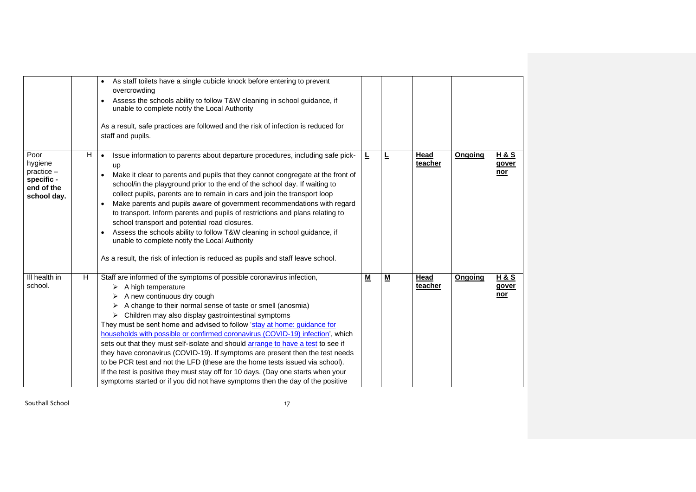|                                                                            |   | As staff toilets have a single cubicle knock before entering to prevent<br>overcrowding<br>Assess the schools ability to follow T&W cleaning in school guidance, if<br>unable to complete notify the Local Authority<br>As a result, safe practices are followed and the risk of infection is reduced for<br>staff and pupils.                                                                                                                                                                                                                                                                                                                                                                                                                                                                                                                                            |          |   |                        |         |                                       |
|----------------------------------------------------------------------------|---|---------------------------------------------------------------------------------------------------------------------------------------------------------------------------------------------------------------------------------------------------------------------------------------------------------------------------------------------------------------------------------------------------------------------------------------------------------------------------------------------------------------------------------------------------------------------------------------------------------------------------------------------------------------------------------------------------------------------------------------------------------------------------------------------------------------------------------------------------------------------------|----------|---|------------------------|---------|---------------------------------------|
| Poor<br>hygiene<br>$practive -$<br>specific -<br>end of the<br>school day. | H | Issue information to parents about departure procedures, including safe pick-<br>$\bullet$<br>up<br>Make it clear to parents and pupils that they cannot congregate at the front of<br>$\bullet$<br>school/in the playground prior to the end of the school day. If waiting to<br>collect pupils, parents are to remain in cars and join the transport loop<br>Make parents and pupils aware of government recommendations with regard<br>to transport. Inform parents and pupils of restrictions and plans relating to<br>school transport and potential road closures.<br>Assess the schools ability to follow T&W cleaning in school guidance, if<br>unable to complete notify the Local Authority<br>As a result, the risk of infection is reduced as pupils and staff leave school.                                                                                  | Ŀ        | Ŀ | <b>Head</b><br>teacher | Ongoing | <b>H&amp;S</b><br>gover<br><u>nor</u> |
| III health in<br>school.                                                   | H | Staff are informed of the symptoms of possible coronavirus infection,<br>$\triangleright$ A high temperature<br>A new continuous dry cough<br>A change to their normal sense of taste or smell (anosmia)<br>$\triangleright$ Children may also display gastrointestinal symptoms<br>They must be sent home and advised to follow 'stay at home: guidance for<br>households with possible or confirmed coronavirus (COVID-19) infection', which<br>sets out that they must self-isolate and should arrange to have a test to see if<br>they have coronavirus (COVID-19). If symptoms are present then the test needs<br>to be PCR test and not the LFD (these are the home tests issued via school).<br>If the test is positive they must stay off for 10 days. (Day one starts when your<br>symptoms started or if you did not have symptoms then the day of the positive | <u>м</u> | − | Head<br>teacher        | Ongoing | <u>H&amp;S</u><br>gover<br><u>nor</u> |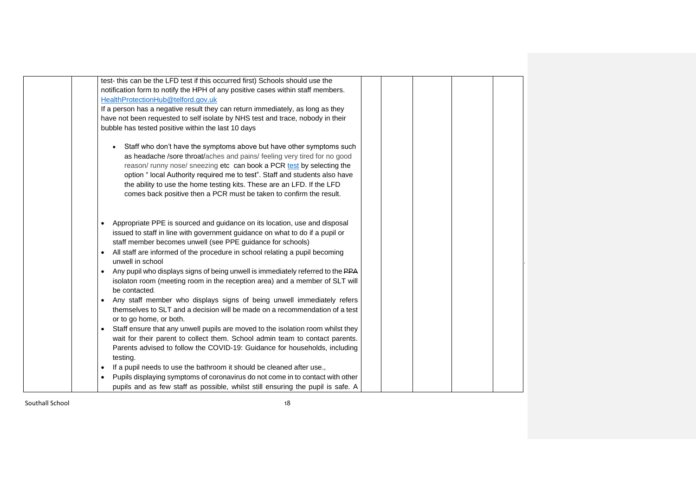| test- this can be the LFD test if this occurred first) Schools should use the                |  |
|----------------------------------------------------------------------------------------------|--|
| notification form to notify the HPH of any positive cases within staff members.              |  |
| HealthProtectionHub@telford.gov.uk                                                           |  |
| If a person has a negative result they can return immediately, as long as they               |  |
| have not been requested to self isolate by NHS test and trace, nobody in their               |  |
| bubble has tested positive within the last 10 days                                           |  |
|                                                                                              |  |
| Staff who don't have the symptoms above but have other symptoms such                         |  |
| as headache /sore throat/aches and pains/ feeling very tired for no good                     |  |
| reason/runny nose/sneezing etc can book a PCR test by selecting the                          |  |
| option " local Authority required me to test". Staff and students also have                  |  |
| the ability to use the home testing kits. These are an LFD. If the LFD                       |  |
| comes back positive then a PCR must be taken to confirm the result.                          |  |
|                                                                                              |  |
|                                                                                              |  |
| Appropriate PPE is sourced and guidance on its location, use and disposal<br>$\bullet$       |  |
| issued to staff in line with government guidance on what to do if a pupil or                 |  |
| staff member becomes unwell (see PPE guidance for schools)                                   |  |
| All staff are informed of the procedure in school relating a pupil becoming                  |  |
| unwell in school                                                                             |  |
| Any pupil who displays signs of being unwell is immediately referred to the PPA<br>$\bullet$ |  |
| isolaton room (meeting room in the reception area) and a member of SLT will                  |  |
| be contacted.                                                                                |  |
| Any staff member who displays signs of being unwell immediately refers<br>$\bullet$          |  |
| themselves to SLT and a decision will be made on a recommendation of a test                  |  |
| or to go home, or both.                                                                      |  |
| Staff ensure that any unwell pupils are moved to the isolation room whilst they              |  |
| wait for their parent to collect them. School admin team to contact parents.                 |  |
| Parents advised to follow the COVID-19: Guidance for households, including                   |  |
| testing.                                                                                     |  |
|                                                                                              |  |
| If a pupil needs to use the bathroom it should be cleaned after use.,<br>$\bullet$           |  |
| Pupils displaying symptoms of coronavirus do not come in to contact with other               |  |
| pupils and as few staff as possible, whilst still ensuring the pupil is safe. A              |  |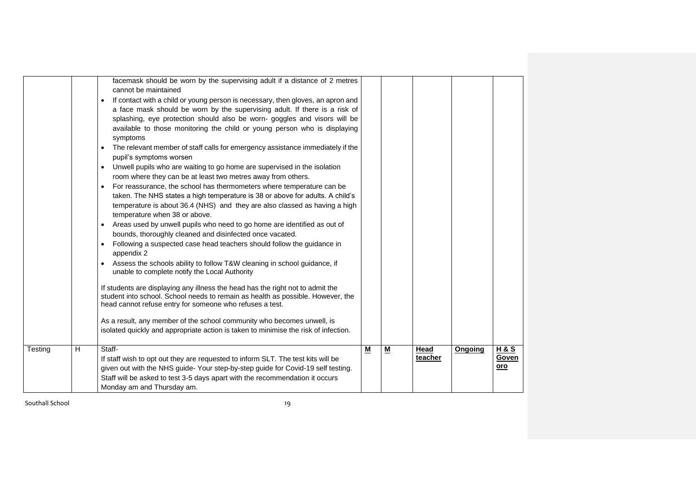|              | facemask should be worn by the supervising adult if a distance of 2 metres<br>cannot be maintained<br>If contact with a child or young person is necessary, then gloves, an apron and<br>a face mask should be worn by the supervising adult. If there is a risk of<br>splashing, eye protection should also be worn- goggles and visors will be<br>available to those monitoring the child or young person who is displaying<br>symptoms<br>The relevant member of staff calls for emergency assistance immediately if the<br>pupil's symptoms worsen<br>Unwell pupils who are waiting to go home are supervised in the isolation<br>$\bullet$<br>room where they can be at least two metres away from others.<br>For reassurance, the school has thermometers where temperature can be<br>taken. The NHS states a high temperature is 38 or above for adults. A child's<br>temperature is about 36.4 (NHS) and they are also classed as having a high<br>temperature when 38 or above.<br>Areas used by unwell pupils who need to go home are identified as out of<br>bounds, thoroughly cleaned and disinfected once vacated.<br>Following a suspected case head teachers should follow the guidance in<br>$\bullet$<br>appendix 2<br>Assess the schools ability to follow T&W cleaning in school guidance, if<br>unable to complete notify the Local Authority<br>If students are displaying any illness the head has the right not to admit the<br>student into school. School needs to remain as health as possible. However, the<br>head cannot refuse entry for someone who refuses a test.<br>As a result, any member of the school community who becomes unwell, is<br>isolated quickly and appropriate action is taken to minimise the risk of infection. |   |          |                 |         |                                |
|--------------|----------------------------------------------------------------------------------------------------------------------------------------------------------------------------------------------------------------------------------------------------------------------------------------------------------------------------------------------------------------------------------------------------------------------------------------------------------------------------------------------------------------------------------------------------------------------------------------------------------------------------------------------------------------------------------------------------------------------------------------------------------------------------------------------------------------------------------------------------------------------------------------------------------------------------------------------------------------------------------------------------------------------------------------------------------------------------------------------------------------------------------------------------------------------------------------------------------------------------------------------------------------------------------------------------------------------------------------------------------------------------------------------------------------------------------------------------------------------------------------------------------------------------------------------------------------------------------------------------------------------------------------------------------------------------------------------------------------------------------------------------------------------|---|----------|-----------------|---------|--------------------------------|
| H<br>Testing | Staff-<br>If staff wish to opt out they are requested to inform SLT. The test kits will be<br>given out with the NHS guide-Your step-by-step guide for Covid-19 self testing.<br>Staff will be asked to test 3-5 days apart with the recommendation it occurs<br>Monday am and Thursday am.                                                                                                                                                                                                                                                                                                                                                                                                                                                                                                                                                                                                                                                                                                                                                                                                                                                                                                                                                                                                                                                                                                                                                                                                                                                                                                                                                                                                                                                                          | M | <u>м</u> | Head<br>teacher | Ongoing | <b>H&amp;S</b><br>Goven<br>oro |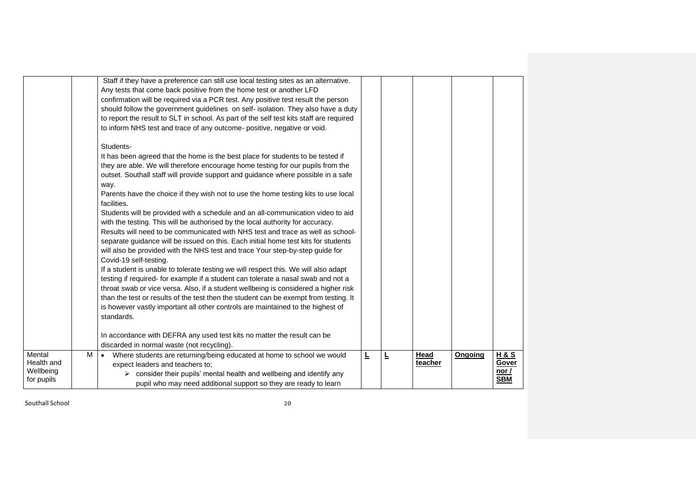|                                                 |   | Staff if they have a preference can still use local testing sites as an alternative.<br>Any tests that come back positive from the home test or another LFD<br>confirmation will be required via a PCR test. Any positive test result the person<br>should follow the government guidelines on self- isolation. They also have a duty<br>to report the result to SLT in school. As part of the self test kits staff are required<br>to inform NHS test and trace of any outcome- positive, negative or void.<br>Students- |   |   |                 |         |                                                |  |
|-------------------------------------------------|---|---------------------------------------------------------------------------------------------------------------------------------------------------------------------------------------------------------------------------------------------------------------------------------------------------------------------------------------------------------------------------------------------------------------------------------------------------------------------------------------------------------------------------|---|---|-----------------|---------|------------------------------------------------|--|
|                                                 |   | It has been agreed that the home is the best place for students to be tested if<br>they are able. We will therefore encourage home testing for our pupils from the<br>outset. Southall staff will provide support and guidance where possible in a safe<br>way.<br>Parents have the choice if they wish not to use the home testing kits to use local<br>facilities.                                                                                                                                                      |   |   |                 |         |                                                |  |
|                                                 |   | Students will be provided with a schedule and an all-communication video to aid<br>with the testing. This will be authorised by the local authority for accuracy.<br>Results will need to be communicated with NHS test and trace as well as school-<br>separate guidance will be issued on this. Each initial home test kits for students<br>will also be provided with the NHS test and trace Your step-by-step guide for<br>Covid-19 self-testing.                                                                     |   |   |                 |         |                                                |  |
|                                                 |   | If a student is unable to tolerate testing we will respect this. We will also adapt<br>testing if required- for example if a student can tolerate a nasal swab and not a<br>throat swab or vice versa. Also, if a student wellbeing is considered a higher risk<br>than the test or results of the test then the student can be exempt from testing. It<br>is however vastly important all other controls are maintained to the highest of<br>standards.                                                                  |   |   |                 |         |                                                |  |
|                                                 |   | In accordance with DEFRA any used test kits no matter the result can be<br>discarded in normal waste (not recycling).                                                                                                                                                                                                                                                                                                                                                                                                     |   |   |                 |         |                                                |  |
| Mental<br>Health and<br>Wellbeing<br>for pupils | M | Where students are returning/being educated at home to school we would<br>$\bullet$<br>expect leaders and teachers to;<br>$\triangleright$ consider their pupils' mental health and wellbeing and identify any<br>pupil who may need additional support so they are ready to learn                                                                                                                                                                                                                                        | Ē | Ē | Head<br>teacher | Ongoing | <b>H&amp;S</b><br>Gover<br>nor /<br><b>SBM</b> |  |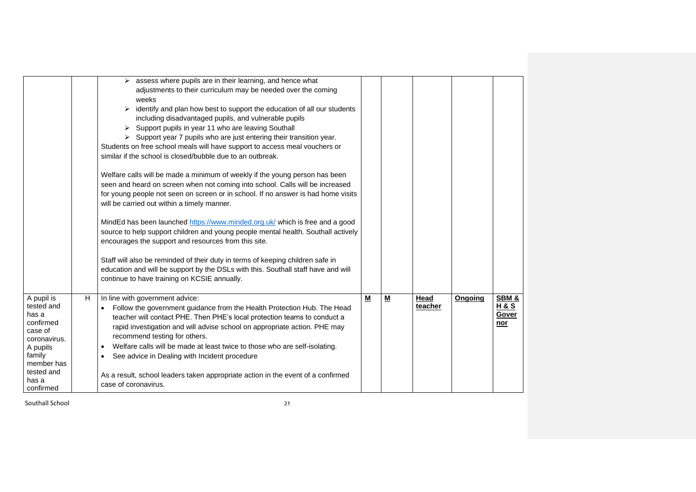|                                                                                                                                                   |   | $\triangleright$ assess where pupils are in their learning, and hence what<br>adjustments to their curriculum may be needed over the coming<br>weeks<br>$\triangleright$ identify and plan how best to support the education of all our students<br>including disadvantaged pupils, and vulnerable pupils<br>> Support pupils in year 11 who are leaving Southall<br>$\triangleright$ Support year 7 pupils who are just entering their transition year.<br>Students on free school meals will have support to access meal vouchers or<br>similar if the school is closed/bubble due to an outbreak.<br>Welfare calls will be made a minimum of weekly if the young person has been<br>seen and heard on screen when not coming into school. Calls will be increased<br>for young people not seen on screen or in school. If no answer is had home visits<br>will be carried out within a timely manner.<br>MindEd has been launched https://www.minded.org.uk/ which is free and a good<br>source to help support children and young people mental health. Southall actively<br>encourages the support and resources from this site.<br>Staff will also be reminded of their duty in terms of keeping children safe in<br>education and will be support by the DSLs with this. Southall staff have and will<br>continue to have training on KCSIE annually. |   |   |                 |         |                                        |
|---------------------------------------------------------------------------------------------------------------------------------------------------|---|--------------------------------------------------------------------------------------------------------------------------------------------------------------------------------------------------------------------------------------------------------------------------------------------------------------------------------------------------------------------------------------------------------------------------------------------------------------------------------------------------------------------------------------------------------------------------------------------------------------------------------------------------------------------------------------------------------------------------------------------------------------------------------------------------------------------------------------------------------------------------------------------------------------------------------------------------------------------------------------------------------------------------------------------------------------------------------------------------------------------------------------------------------------------------------------------------------------------------------------------------------------------------------------------------------------------------------------------------------------|---|---|-----------------|---------|----------------------------------------|
| A pupil is<br>tested and<br>has a<br>confirmed<br>case of<br>coronavirus.<br>A pupils<br>family<br>member has<br>tested and<br>has a<br>confirmed | H | In line with government advice:<br>• Follow the government guidance from the Health Protection Hub. The Head<br>teacher will contact PHE. Then PHE's local protection teams to conduct a<br>rapid investigation and will advise school on appropriate action. PHE may<br>recommend testing for others.<br>Welfare calls will be made at least twice to those who are self-isolating.<br>$\bullet$<br>See advice in Dealing with Incident procedure<br>As a result, school leaders taken appropriate action in the event of a confirmed<br>case of coronavirus.                                                                                                                                                                                                                                                                                                                                                                                                                                                                                                                                                                                                                                                                                                                                                                                               | M | M | Head<br>teacher | Ongoing | SBM&<br><b>H&amp;S</b><br>Gover<br>nor |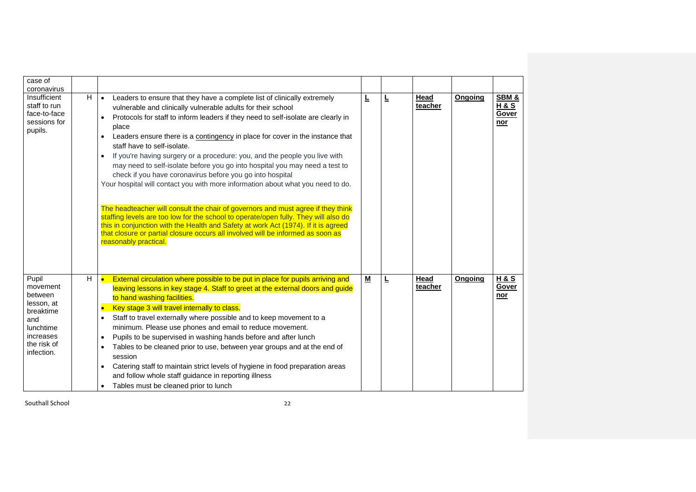| case of                                                                                                               |   |                                                                                                                                                                                                                                                                                                                                                                                                                                                                                                                                                                                                                                                                                                                                                                                                                                                                                                                                                                                                                                                                                         |                          |   |                 |         |                                                |
|-----------------------------------------------------------------------------------------------------------------------|---|-----------------------------------------------------------------------------------------------------------------------------------------------------------------------------------------------------------------------------------------------------------------------------------------------------------------------------------------------------------------------------------------------------------------------------------------------------------------------------------------------------------------------------------------------------------------------------------------------------------------------------------------------------------------------------------------------------------------------------------------------------------------------------------------------------------------------------------------------------------------------------------------------------------------------------------------------------------------------------------------------------------------------------------------------------------------------------------------|--------------------------|---|-----------------|---------|------------------------------------------------|
| coronavirus<br>Insufficient<br>staff to run<br>face-to-face<br>sessions for<br>pupils.                                | H | Leaders to ensure that they have a complete list of clinically extremely<br>$\bullet$<br>vulnerable and clinically vulnerable adults for their school<br>Protocols for staff to inform leaders if they need to self-isolate are clearly in<br>$\bullet$<br>place<br>Leaders ensure there is a contingency in place for cover in the instance that<br>staff have to self-isolate.<br>If you're having surgery or a procedure: you, and the people you live with<br>$\bullet$<br>may need to self-isolate before you go into hospital you may need a test to<br>check if you have coronavirus before you go into hospital<br>Your hospital will contact you with more information about what you need to do.<br>The headteacher will consult the chair of governors and must agree if they think<br>staffing levels are too low for the school to operate/open fully. They will also do<br>this in conjunction with the Health and Safety at work Act (1974). If it is agreed<br>that closure or partial closure occurs all involved will be informed as soon as<br>reasonably practical. | Ē                        | Ŀ | Head<br>teacher | Ongoing | SBM &<br><b>H&amp;S</b><br>Gover<br><u>nor</u> |
| Pupil<br>movement<br>between<br>lesson, at<br>breaktime<br>and<br>lunchtime<br>increases<br>the risk of<br>infection. | H | External circulation where possible to be put in place for pupils arriving and<br>$\bullet$<br>leaving lessons in key stage 4. Staff to greet at the external doors and guide<br>to hand washing facilities.<br>Key stage 3 will travel internally to class.<br>$\bullet$<br>Staff to travel externally where possible and to keep movement to a<br>$\bullet$<br>minimum. Please use phones and email to reduce movement.<br>Pupils to be supervised in washing hands before and after lunch<br>$\bullet$<br>Tables to be cleaned prior to use, between year groups and at the end of<br>session<br>Catering staff to maintain strict levels of hygiene in food preparation areas<br>and follow whole staff guidance in reporting illness<br>Tables must be cleaned prior to lunch                                                                                                                                                                                                                                                                                                      | $\underline{\mathsf{M}}$ | Ŀ | Head<br>teacher | Ongoing | <b>H&amp;S</b><br>Gover<br>nor                 |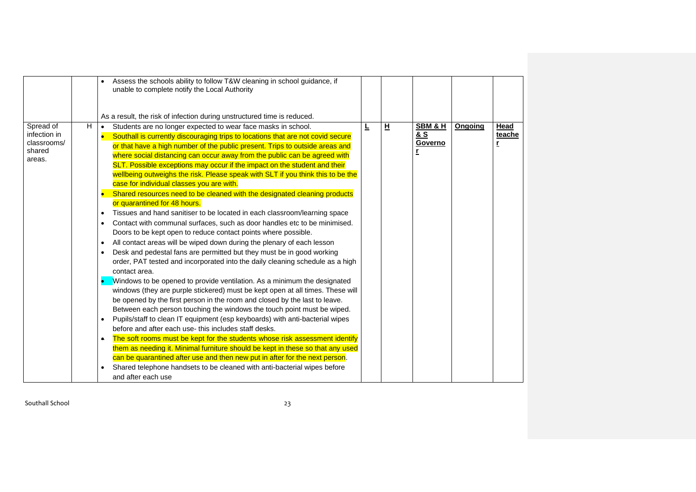|                                                                   | Assess the schools ability to follow T&W cleaning in school guidance, if<br>unable to complete notify the Local Authority                                                                                                                                                                                                                                                                                                                                                                                                                                                                                                                                                                                                                                                                                                                                                                                                                                                                                                                                                                                                                                                                                                                                                                                                                                                                                                                                                                                                                                                                                                                                                                                                                                                                                                                                                                                                                                           |   |   |                           |         |                     |
|-------------------------------------------------------------------|---------------------------------------------------------------------------------------------------------------------------------------------------------------------------------------------------------------------------------------------------------------------------------------------------------------------------------------------------------------------------------------------------------------------------------------------------------------------------------------------------------------------------------------------------------------------------------------------------------------------------------------------------------------------------------------------------------------------------------------------------------------------------------------------------------------------------------------------------------------------------------------------------------------------------------------------------------------------------------------------------------------------------------------------------------------------------------------------------------------------------------------------------------------------------------------------------------------------------------------------------------------------------------------------------------------------------------------------------------------------------------------------------------------------------------------------------------------------------------------------------------------------------------------------------------------------------------------------------------------------------------------------------------------------------------------------------------------------------------------------------------------------------------------------------------------------------------------------------------------------------------------------------------------------------------------------------------------------|---|---|---------------------------|---------|---------------------|
|                                                                   | As a result, the risk of infection during unstructured time is reduced.                                                                                                                                                                                                                                                                                                                                                                                                                                                                                                                                                                                                                                                                                                                                                                                                                                                                                                                                                                                                                                                                                                                                                                                                                                                                                                                                                                                                                                                                                                                                                                                                                                                                                                                                                                                                                                                                                             |   |   |                           |         |                     |
| H<br>Spread of<br>infection in<br>classrooms/<br>shared<br>areas. | Students are no longer expected to wear face masks in school.<br>$\bullet$<br>Southall is currently discouraging trips to locations that are not covid secure<br>or that have a high number of the public present. Trips to outside areas and<br>where social distancing can occur away from the public can be agreed with<br>SLT. Possible exceptions may occur if the impact on the student and their<br>wellbeing outweighs the risk. Please speak with SLT if you think this to be the<br>case for individual classes you are with.<br>Shared resources need to be cleaned with the designated cleaning products<br>or quarantined for 48 hours.<br>Tissues and hand sanitiser to be located in each classroom/learning space<br>Contact with communal surfaces, such as door handles etc to be minimised.<br>Doors to be kept open to reduce contact points where possible.<br>All contact areas will be wiped down during the plenary of each lesson<br>Desk and pedestal fans are permitted but they must be in good working<br>order, PAT tested and incorporated into the daily cleaning schedule as a high<br>contact area.<br>Windows to be opened to provide ventilation. As a minimum the designated<br>windows (they are purple stickered) must be kept open at all times. These will<br>be opened by the first person in the room and closed by the last to leave.<br>Between each person touching the windows the touch point must be wiped.<br>Pupils/staff to clean IT equipment (esp keyboards) with anti-bacterial wipes<br>before and after each use-this includes staff desks.<br>The soft rooms must be kept for the students whose risk assessment identify<br>$\bullet$<br>them as needing it. Minimal furniture should be kept in these so that any used<br>can be quarantined after use and then new put in after for the next person.<br>Shared telephone handsets to be cleaned with anti-bacterial wipes before<br>and after each use | L | 且 | SBM & H<br>& S<br>Governo | Ongoing | Head<br>teache<br>r |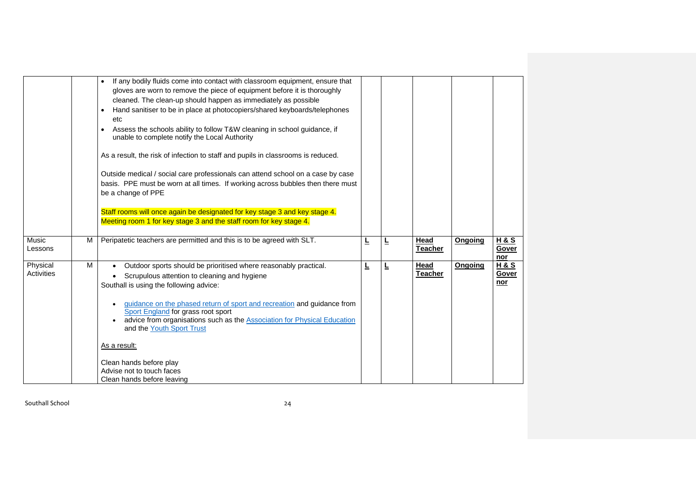|                        |   | If any bodily fluids come into contact with classroom equipment, ensure that<br>gloves are worn to remove the piece of equipment before it is thoroughly<br>cleaned. The clean-up should happen as immediately as possible<br>Hand sanitiser to be in place at photocopiers/shared keyboards/telephones<br>$\bullet$<br>etc<br>Assess the schools ability to follow T&W cleaning in school guidance, if<br>$\bullet$<br>unable to complete notify the Local Authority<br>As a result, the risk of infection to staff and pupils in classrooms is reduced.<br>Outside medical / social care professionals can attend school on a case by case<br>basis. PPE must be worn at all times. If working across bubbles then there must<br>be a change of PPE<br>Staff rooms will once again be designated for key stage 3 and key stage 4. |   |   |                        |         |                                       |
|------------------------|---|-------------------------------------------------------------------------------------------------------------------------------------------------------------------------------------------------------------------------------------------------------------------------------------------------------------------------------------------------------------------------------------------------------------------------------------------------------------------------------------------------------------------------------------------------------------------------------------------------------------------------------------------------------------------------------------------------------------------------------------------------------------------------------------------------------------------------------------|---|---|------------------------|---------|---------------------------------------|
|                        |   | Meeting room 1 for key stage 3 and the staff room for key stage 4.                                                                                                                                                                                                                                                                                                                                                                                                                                                                                                                                                                                                                                                                                                                                                                  |   |   |                        |         |                                       |
| Music<br>Lessons       | M | Peripatetic teachers are permitted and this is to be agreed with SLT.                                                                                                                                                                                                                                                                                                                                                                                                                                                                                                                                                                                                                                                                                                                                                               | ╘ | ╘ | Head<br><b>Teacher</b> | Ongoing | H & S<br>Gover<br>nor                 |
| Physical<br>Activities | м | Outdoor sports should be prioritised where reasonably practical.<br>Scrupulous attention to cleaning and hygiene<br>Southall is using the following advice:<br>guidance on the phased return of sport and recreation and guidance from<br>Sport England for grass root sport<br>advice from organisations such as the Association for Physical Education<br>and the Youth Sport Trust<br>As a result:<br>Clean hands before play<br>Advise not to touch faces<br>Clean hands before leaving                                                                                                                                                                                                                                                                                                                                         | ╚ | L | Head<br><b>Teacher</b> | Ongoing | <u>H&amp;S</u><br>Gover<br><u>nor</u> |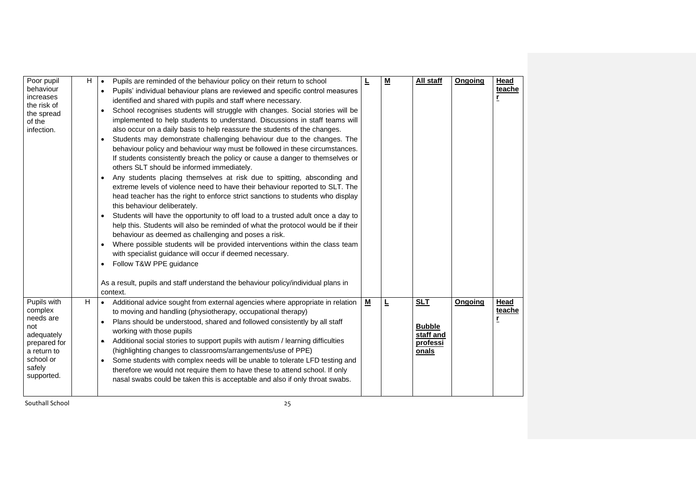| Poor pupil<br>behaviour<br>increases<br>the risk of<br>the spread<br>of the<br>infection.                                    | H | Pupils are reminded of the behaviour policy on their return to school<br>$\bullet$<br>Pupils' individual behaviour plans are reviewed and specific control measures<br>$\bullet$<br>identified and shared with pupils and staff where necessary.<br>School recognises students will struggle with changes. Social stories will be<br>implemented to help students to understand. Discussions in staff teams will<br>also occur on a daily basis to help reassure the students of the changes.<br>Students may demonstrate challenging behaviour due to the changes. The<br>behaviour policy and behaviour way must be followed in these circumstances.<br>If students consistently breach the policy or cause a danger to themselves or<br>others SLT should be informed immediately.<br>Any students placing themselves at risk due to spitting, absconding and<br>$\bullet$<br>extreme levels of violence need to have their behaviour reported to SLT. The<br>head teacher has the right to enforce strict sanctions to students who display<br>this behaviour deliberately.<br>Students will have the opportunity to off load to a trusted adult once a day to<br>help this. Students will also be reminded of what the protocol would be if their<br>behaviour as deemed as challenging and poses a risk.<br>Where possible students will be provided interventions within the class team<br>with specialist guidance will occur if deemed necessary.<br>Follow T&W PPE guidance<br>As a result, pupils and staff understand the behaviour policy/individual plans in<br>context. |                          | $\underline{\mathsf{M}}$ | All staff                                                     | Ongoing | Head<br>teache<br>r |
|------------------------------------------------------------------------------------------------------------------------------|---|----------------------------------------------------------------------------------------------------------------------------------------------------------------------------------------------------------------------------------------------------------------------------------------------------------------------------------------------------------------------------------------------------------------------------------------------------------------------------------------------------------------------------------------------------------------------------------------------------------------------------------------------------------------------------------------------------------------------------------------------------------------------------------------------------------------------------------------------------------------------------------------------------------------------------------------------------------------------------------------------------------------------------------------------------------------------------------------------------------------------------------------------------------------------------------------------------------------------------------------------------------------------------------------------------------------------------------------------------------------------------------------------------------------------------------------------------------------------------------------------------------------------------------------------------------------------------------------|--------------------------|--------------------------|---------------------------------------------------------------|---------|---------------------|
| Pupils with<br>complex<br>needs are<br>not<br>adequately<br>prepared for<br>a return to<br>school or<br>safely<br>supported. | H | • Additional advice sought from external agencies where appropriate in relation<br>to moving and handling (physiotherapy, occupational therapy)<br>Plans should be understood, shared and followed consistently by all staff<br>$\bullet$<br>working with those pupils<br>Additional social stories to support pupils with autism / learning difficulties<br>$\bullet$<br>(highlighting changes to classrooms/arrangements/use of PPE)<br>Some students with complex needs will be unable to tolerate LFD testing and<br>$\bullet$<br>therefore we would not require them to have these to attend school. If only<br>nasal swabs could be taken this is acceptable and also if only throat swabs.                                                                                                                                                                                                                                                                                                                                                                                                                                                                                                                                                                                                                                                                                                                                                                                                                                                                                      | $\underline{\mathsf{M}}$ | Ŀ                        | <b>SLT</b><br><b>Bubble</b><br>staff and<br>professi<br>onals | Ongoing | Head<br>teache      |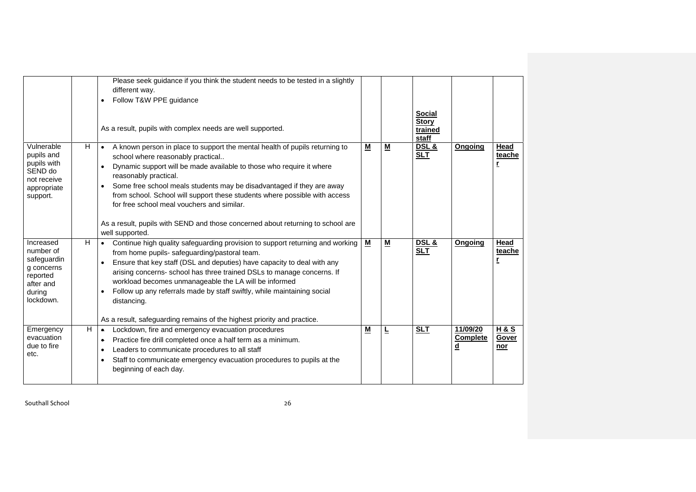|                                                                                                     |    | Please seek guidance if you think the student needs to be tested in a slightly<br>different way.<br>Follow T&W PPE guidance<br>As a result, pupils with complex needs are well supported.                                                                                                                                                                                                                                                                                                                                                              |                          |                          | <b>Social</b><br><b>Story</b><br>trained<br>staff |                                         |                                |
|-----------------------------------------------------------------------------------------------------|----|--------------------------------------------------------------------------------------------------------------------------------------------------------------------------------------------------------------------------------------------------------------------------------------------------------------------------------------------------------------------------------------------------------------------------------------------------------------------------------------------------------------------------------------------------------|--------------------------|--------------------------|---------------------------------------------------|-----------------------------------------|--------------------------------|
| Vulnerable<br>pupils and<br>pupils with<br>SEND do<br>not receive<br>appropriate<br>support.        | H. | A known person in place to support the mental health of pupils returning to<br>$\bullet$<br>school where reasonably practical<br>Dynamic support will be made available to those who require it where<br>reasonably practical.<br>Some free school meals students may be disadvantaged if they are away<br>$\bullet$<br>from school. School will support these students where possible with access<br>for free school meal vouchers and similar.<br>As a result, pupils with SEND and those concerned about returning to school are<br>well supported. | $\underline{\mathsf{M}}$ | М                        | <b>DSL &amp;</b><br><b>SLT</b>                    | Ongoing                                 | Head<br>teache                 |
| Increased<br>number of<br>safeguardin<br>g concerns<br>reported<br>after and<br>during<br>lockdown. | H  | Continue high quality safeguarding provision to support returning and working<br>from home pupils- safeguarding/pastoral team.<br>Ensure that key staff (DSL and deputies) have capacity to deal with any<br>arising concerns- school has three trained DSLs to manage concerns. If<br>workload becomes unmanageable the LA will be informed<br>Follow up any referrals made by staff swiftly, while maintaining social<br>distancing.<br>As a result, safeguarding remains of the highest priority and practice.                                      | $\underline{\mathsf{M}}$ | $\underline{\mathsf{M}}$ | DSL &<br><b>SLT</b>                               | Ongoing                                 | Head<br>teache                 |
| Emergency<br>evacuation<br>due to fire<br>etc.                                                      | H  | Lockdown, fire and emergency evacuation procedures<br>$\bullet$<br>Practice fire drill completed once a half term as a minimum.<br>$\bullet$<br>Leaders to communicate procedures to all staff<br>Staff to communicate emergency evacuation procedures to pupils at the<br>$\bullet$<br>beginning of each day.                                                                                                                                                                                                                                         | $\underline{\mathsf{M}}$ | ╘                        | <b>SLT</b>                                        | 11/09/20<br><b>Complete</b><br><u>d</u> | <b>H&amp;S</b><br>Gover<br>nor |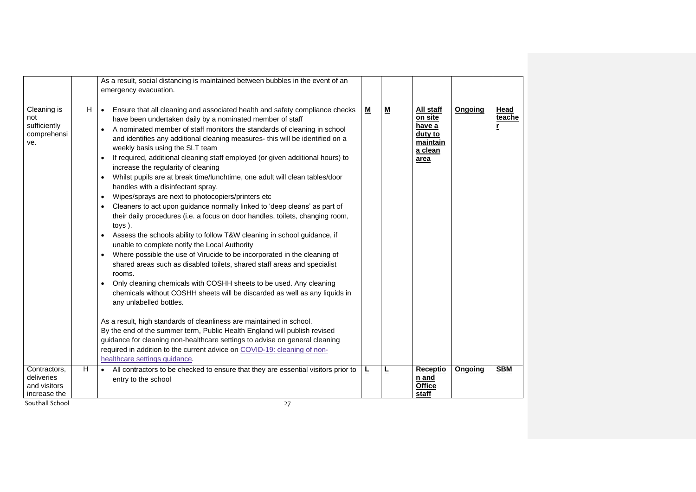|                                                          |    | As a result, social distancing is maintained between bubbles in the event of an<br>emergency evacuation.                                                                                                                                                                                                                                                                                                                                                                                                                                                                                                                                                                                                                                                                                                                                                                                                                                                                                                                                                                                                                                                                                                                                                                                                                                                                                                                                                                                                                                                                                                                                                                                   |                          |                          |                                                                          |         |                     |
|----------------------------------------------------------|----|--------------------------------------------------------------------------------------------------------------------------------------------------------------------------------------------------------------------------------------------------------------------------------------------------------------------------------------------------------------------------------------------------------------------------------------------------------------------------------------------------------------------------------------------------------------------------------------------------------------------------------------------------------------------------------------------------------------------------------------------------------------------------------------------------------------------------------------------------------------------------------------------------------------------------------------------------------------------------------------------------------------------------------------------------------------------------------------------------------------------------------------------------------------------------------------------------------------------------------------------------------------------------------------------------------------------------------------------------------------------------------------------------------------------------------------------------------------------------------------------------------------------------------------------------------------------------------------------------------------------------------------------------------------------------------------------|--------------------------|--------------------------|--------------------------------------------------------------------------|---------|---------------------|
| Cleaning is<br>not<br>sufficiently<br>comprehensi<br>ve. | H. | Ensure that all cleaning and associated health and safety compliance checks<br>$\bullet$<br>have been undertaken daily by a nominated member of staff<br>A nominated member of staff monitors the standards of cleaning in school<br>and identifies any additional cleaning measures- this will be identified on a<br>weekly basis using the SLT team<br>If required, additional cleaning staff employed (or given additional hours) to<br>increase the regularity of cleaning<br>Whilst pupils are at break time/lunchtime, one adult will clean tables/door<br>handles with a disinfectant spray.<br>Wipes/sprays are next to photocopiers/printers etc<br>$\bullet$<br>Cleaners to act upon guidance normally linked to 'deep cleans' as part of<br>their daily procedures (i.e. a focus on door handles, toilets, changing room,<br>toys).<br>Assess the schools ability to follow T&W cleaning in school guidance, if<br>unable to complete notify the Local Authority<br>Where possible the use of Virucide to be incorporated in the cleaning of<br>$\bullet$<br>shared areas such as disabled toilets, shared staff areas and specialist<br>rooms.<br>Only cleaning chemicals with COSHH sheets to be used. Any cleaning<br>chemicals without COSHH sheets will be discarded as well as any liquids in<br>any unlabelled bottles.<br>As a result, high standards of cleanliness are maintained in school.<br>By the end of the summer term, Public Health England will publish revised<br>guidance for cleaning non-healthcare settings to advise on general cleaning<br>required in addition to the current advice on COVID-19: cleaning of non-<br>healthcare settings guidance. | $\underline{\mathsf{M}}$ | $\underline{\mathsf{M}}$ | All staff<br>on site<br>have a<br>duty to<br>maintain<br>a clean<br>area | Ongoing | Head<br>teache<br>r |
| Contractors,<br>deliveries                               | H  | All contractors to be checked to ensure that they are essential visitors prior to<br>$\bullet$                                                                                                                                                                                                                                                                                                                                                                                                                                                                                                                                                                                                                                                                                                                                                                                                                                                                                                                                                                                                                                                                                                                                                                                                                                                                                                                                                                                                                                                                                                                                                                                             | L                        | Ŀ                        | Receptio                                                                 | Ongoing | <b>SBM</b>          |
| and visitors                                             |    | entry to the school                                                                                                                                                                                                                                                                                                                                                                                                                                                                                                                                                                                                                                                                                                                                                                                                                                                                                                                                                                                                                                                                                                                                                                                                                                                                                                                                                                                                                                                                                                                                                                                                                                                                        |                          |                          | n and<br><b>Office</b>                                                   |         |                     |
| increase the                                             |    |                                                                                                                                                                                                                                                                                                                                                                                                                                                                                                                                                                                                                                                                                                                                                                                                                                                                                                                                                                                                                                                                                                                                                                                                                                                                                                                                                                                                                                                                                                                                                                                                                                                                                            |                          |                          | staff                                                                    |         |                     |
| Southall School                                          |    | 27                                                                                                                                                                                                                                                                                                                                                                                                                                                                                                                                                                                                                                                                                                                                                                                                                                                                                                                                                                                                                                                                                                                                                                                                                                                                                                                                                                                                                                                                                                                                                                                                                                                                                         |                          |                          |                                                                          |         |                     |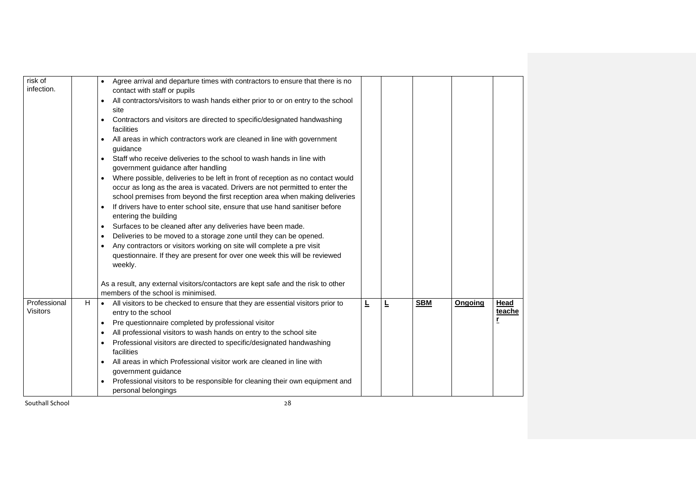| risk of<br>infection.           |   | Agree arrival and departure times with contractors to ensure that there is no<br>contact with staff or pupils<br>All contractors/visitors to wash hands either prior to or on entry to the school<br>site<br>Contractors and visitors are directed to specific/designated handwashing<br>facilities<br>All areas in which contractors work are cleaned in line with government<br>guidance<br>Staff who receive deliveries to the school to wash hands in line with<br>government guidance after handling<br>Where possible, deliveries to be left in front of reception as no contact would<br>occur as long as the area is vacated. Drivers are not permitted to enter the<br>school premises from beyond the first reception area when making deliveries<br>If drivers have to enter school site, ensure that use hand sanitiser before<br>entering the building<br>Surfaces to be cleaned after any deliveries have been made.<br>$\bullet$<br>Deliveries to be moved to a storage zone until they can be opened.<br>Any contractors or visitors working on site will complete a pre visit<br>questionnaire. If they are present for over one week this will be reviewed |   |   |            |         |                |
|---------------------------------|---|------------------------------------------------------------------------------------------------------------------------------------------------------------------------------------------------------------------------------------------------------------------------------------------------------------------------------------------------------------------------------------------------------------------------------------------------------------------------------------------------------------------------------------------------------------------------------------------------------------------------------------------------------------------------------------------------------------------------------------------------------------------------------------------------------------------------------------------------------------------------------------------------------------------------------------------------------------------------------------------------------------------------------------------------------------------------------------------------------------------------------------------------------------------------------|---|---|------------|---------|----------------|
|                                 |   | weekly.<br>As a result, any external visitors/contactors are kept safe and the risk to other<br>members of the school is minimised.                                                                                                                                                                                                                                                                                                                                                                                                                                                                                                                                                                                                                                                                                                                                                                                                                                                                                                                                                                                                                                          |   |   |            |         |                |
| Professional<br><b>Visitors</b> | H | All visitors to be checked to ensure that they are essential visitors prior to<br>entry to the school<br>Pre questionnaire completed by professional visitor<br>$\bullet$<br>All professional visitors to wash hands on entry to the school site<br>Professional visitors are directed to specific/designated handwashing<br>facilities<br>All areas in which Professional visitor work are cleaned in line with<br>government guidance<br>Professional visitors to be responsible for cleaning their own equipment and<br>personal belongings                                                                                                                                                                                                                                                                                                                                                                                                                                                                                                                                                                                                                               | Ē | Ŀ | <b>SBM</b> | Ongoing | Head<br>teache |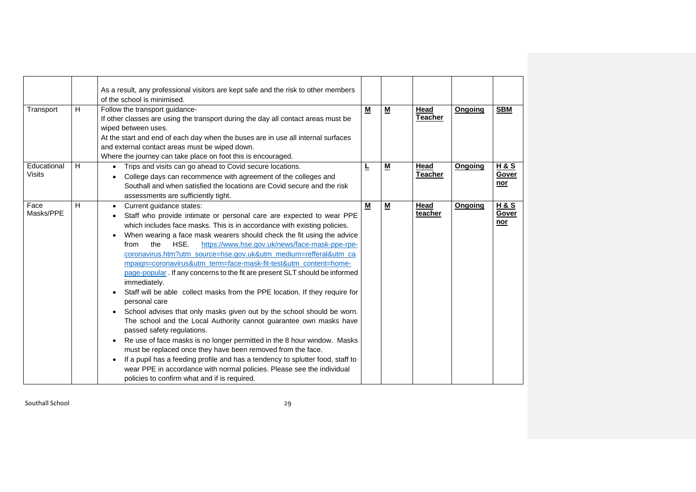|                       |   | As a result, any professional visitors are kept safe and the risk to other members<br>of the school is minimised.                                                                                                                                                                                                                                                                                                                                                                                                                                                                                                                                                                                                                                                                                                                                                                                                                                                                                                                                                                                                                                                                                                    |                          |          |                               |         |                                       |
|-----------------------|---|----------------------------------------------------------------------------------------------------------------------------------------------------------------------------------------------------------------------------------------------------------------------------------------------------------------------------------------------------------------------------------------------------------------------------------------------------------------------------------------------------------------------------------------------------------------------------------------------------------------------------------------------------------------------------------------------------------------------------------------------------------------------------------------------------------------------------------------------------------------------------------------------------------------------------------------------------------------------------------------------------------------------------------------------------------------------------------------------------------------------------------------------------------------------------------------------------------------------|--------------------------|----------|-------------------------------|---------|---------------------------------------|
| Transport             | H | Follow the transport guidance-<br>If other classes are using the transport during the day all contact areas must be<br>wiped between uses.<br>At the start and end of each day when the buses are in use all internal surfaces<br>and external contact areas must be wiped down.<br>Where the journey can take place on foot this is encouraged.                                                                                                                                                                                                                                                                                                                                                                                                                                                                                                                                                                                                                                                                                                                                                                                                                                                                     | $\underline{\mathsf{M}}$ | <u>м</u> | <b>Head</b><br><b>Teacher</b> | Ongoing | <b>SBM</b>                            |
| Educational<br>Visits | H | Trips and visits can go ahead to Covid secure locations.<br>College days can recommence with agreement of the colleges and<br>Southall and when satisfied the locations are Covid secure and the risk<br>assessments are sufficiently tight.                                                                                                                                                                                                                                                                                                                                                                                                                                                                                                                                                                                                                                                                                                                                                                                                                                                                                                                                                                         | L                        | <u>м</u> | Head<br><b>Teacher</b>        | Ongoing | <b>H&amp;S</b><br>Gover<br>nor        |
| Face<br>Masks/PPE     | н | Current guidance states:<br>Staff who provide intimate or personal care are expected to wear PPE<br>which includes face masks. This is in accordance with existing policies.<br>When wearing a face mask wearers should check the fit using the advice<br>the<br>HSE.<br>https://www.hse.gov.uk/news/face-mask-ppe-rpe-<br>from<br>coronavirus.htm?utm_source=hse.gov.uk&utm_medium=refferal&utm_ca<br>mpaign=coronavirus&utm_term=face-mask-fit-test&utm_content=home-<br>page-popular. If any concerns to the fit are present SLT should be informed<br>immediately.<br>Staff will be able collect masks from the PPE location. If they require for<br>personal care<br>School advises that only masks given out by the school should be worn.<br>٠<br>The school and the Local Authority cannot guarantee own masks have<br>passed safety regulations.<br>Re use of face masks is no longer permitted in the 8 hour window. Masks<br>٠<br>must be replaced once they have been removed from the face.<br>If a pupil has a feeding profile and has a tendency to splutter food, staff to<br>wear PPE in accordance with normal policies. Please see the individual<br>policies to confirm what and if is required. | M                        | <u>м</u> | Head<br>teacher               | Ongoing | <b>H&amp;S</b><br>Gover<br><u>nor</u> |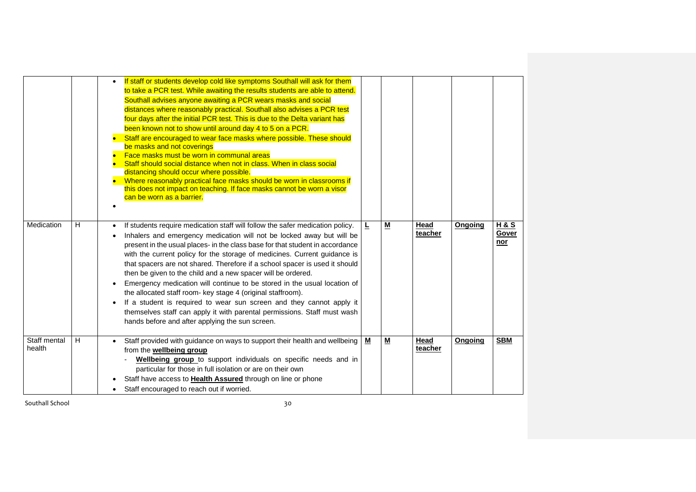| Medication             | н | If staff or students develop cold like symptoms Southall will ask for them<br>to take a PCR test. While awaiting the results students are able to attend.<br>Southall advises anyone awaiting a PCR wears masks and social<br>distances where reasonably practical. Southall also advises a PCR test<br>four days after the initial PCR test. This is due to the Delta variant has<br>been known not to show until around day 4 to 5 on a PCR.<br>Staff are encouraged to wear face masks where possible. These should<br>be masks and not coverings<br>Face masks must be worn in communal areas<br>Staff should social distance when not in class. When in class social<br>distancing should occur where possible.<br>Where reasonably practical face masks should be worn in classrooms if<br>this does not impact on teaching. If face masks cannot be worn a visor<br>can be worn as a barrier.<br>If students require medication staff will follow the safer medication policy.<br>Inhalers and emergency medication will not be locked away but will be<br>present in the usual places- in the class base for that student in accordance<br>with the current policy for the storage of medicines. Current guidance is | ┺        | M                        | Head<br>teacher | Ongoing | <b>H&amp;S</b><br>Gover<br>nor |
|------------------------|---|------------------------------------------------------------------------------------------------------------------------------------------------------------------------------------------------------------------------------------------------------------------------------------------------------------------------------------------------------------------------------------------------------------------------------------------------------------------------------------------------------------------------------------------------------------------------------------------------------------------------------------------------------------------------------------------------------------------------------------------------------------------------------------------------------------------------------------------------------------------------------------------------------------------------------------------------------------------------------------------------------------------------------------------------------------------------------------------------------------------------------------------------------------------------------------------------------------------------------|----------|--------------------------|-----------------|---------|--------------------------------|
|                        |   | that spacers are not shared. Therefore if a school spacer is used it should<br>then be given to the child and a new spacer will be ordered.<br>Emergency medication will continue to be stored in the usual location of<br>the allocated staff room- key stage 4 (original staffroom).<br>If a student is required to wear sun screen and they cannot apply it<br>themselves staff can apply it with parental permissions. Staff must wash<br>hands before and after applying the sun screen.                                                                                                                                                                                                                                                                                                                                                                                                                                                                                                                                                                                                                                                                                                                                |          |                          |                 |         |                                |
| Staff mental<br>health | H | Staff provided with guidance on ways to support their health and wellbeing<br>from the <b>wellbeing group</b><br>Wellbeing group to support individuals on specific needs and in<br>particular for those in full isolation or are on their own<br>Staff have access to Health Assured through on line or phone<br>Staff encouraged to reach out if worried.                                                                                                                                                                                                                                                                                                                                                                                                                                                                                                                                                                                                                                                                                                                                                                                                                                                                  | <u>м</u> | $\underline{\mathsf{M}}$ | Head<br>teacher | Ongoing | <b>SBM</b>                     |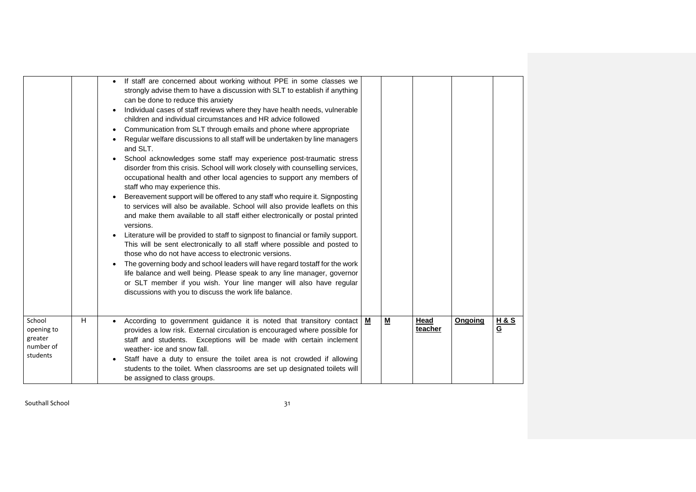|                                                          |   | If staff are concerned about working without PPE in some classes we<br>$\bullet$<br>strongly advise them to have a discussion with SLT to establish if anything<br>can be done to reduce this anxiety<br>Individual cases of staff reviews where they have health needs, vulnerable<br>children and individual circumstances and HR advice followed<br>Communication from SLT through emails and phone where appropriate<br>Regular welfare discussions to all staff will be undertaken by line managers<br>and SLT.<br>School acknowledges some staff may experience post-traumatic stress<br>$\bullet$<br>disorder from this crisis. School will work closely with counselling services,<br>occupational health and other local agencies to support any members of<br>staff who may experience this.<br>Bereavement support will be offered to any staff who require it. Signposting<br>$\bullet$<br>to services will also be available. School will also provide leaflets on this<br>and make them available to all staff either electronically or postal printed<br>versions.<br>Literature will be provided to staff to signpost to financial or family support.<br>This will be sent electronically to all staff where possible and posted to<br>those who do not have access to electronic versions.<br>The governing body and school leaders will have regard tostaff for the work<br>life balance and well being. Please speak to any line manager, governor<br>or SLT member if you wish. Your line manger will also have regular<br>discussions with you to discuss the work life balance. |   |                          |                        |         |                                  |
|----------------------------------------------------------|---|-------------------------------------------------------------------------------------------------------------------------------------------------------------------------------------------------------------------------------------------------------------------------------------------------------------------------------------------------------------------------------------------------------------------------------------------------------------------------------------------------------------------------------------------------------------------------------------------------------------------------------------------------------------------------------------------------------------------------------------------------------------------------------------------------------------------------------------------------------------------------------------------------------------------------------------------------------------------------------------------------------------------------------------------------------------------------------------------------------------------------------------------------------------------------------------------------------------------------------------------------------------------------------------------------------------------------------------------------------------------------------------------------------------------------------------------------------------------------------------------------------------------------------------------------------------------------------------------------------|---|--------------------------|------------------------|---------|----------------------------------|
| School<br>opening to<br>greater<br>number of<br>students | н | According to government guidance it is noted that transitory contact<br>$\bullet$<br>provides a low risk. External circulation is encouraged where possible for<br>staff and students. Exceptions will be made with certain inclement<br>weather- ice and snow fall.<br>Staff have a duty to ensure the toilet area is not crowded if allowing<br>students to the toilet. When classrooms are set up designated toilets will<br>be assigned to class groups.                                                                                                                                                                                                                                                                                                                                                                                                                                                                                                                                                                                                                                                                                                                                                                                                                                                                                                                                                                                                                                                                                                                                          | M | $\underline{\mathsf{M}}$ | <b>Head</b><br>teacher | Ongoing | <b>H&amp;S</b><br>$\overline{G}$ |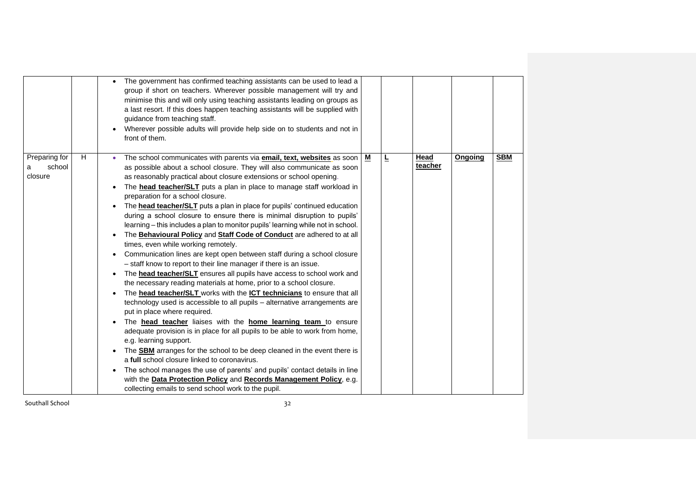|                                         |   | The government has confirmed teaching assistants can be used to lead a<br>group if short on teachers. Wherever possible management will try and<br>minimise this and will only using teaching assistants leading on groups as<br>a last resort. If this does happen teaching assistants will be supplied with<br>guidance from teaching staff.<br>Wherever possible adults will provide help side on to students and not in<br>front of them.                                                                                                                                                                                                                                                                                                                                                                                                                                                                                                                                                                                                                                                                                                                                                                                                                                                                                                                                                                                                                                                                                                                                                                                                                                                                                                                                                                        |   |   |                 |         |            |
|-----------------------------------------|---|----------------------------------------------------------------------------------------------------------------------------------------------------------------------------------------------------------------------------------------------------------------------------------------------------------------------------------------------------------------------------------------------------------------------------------------------------------------------------------------------------------------------------------------------------------------------------------------------------------------------------------------------------------------------------------------------------------------------------------------------------------------------------------------------------------------------------------------------------------------------------------------------------------------------------------------------------------------------------------------------------------------------------------------------------------------------------------------------------------------------------------------------------------------------------------------------------------------------------------------------------------------------------------------------------------------------------------------------------------------------------------------------------------------------------------------------------------------------------------------------------------------------------------------------------------------------------------------------------------------------------------------------------------------------------------------------------------------------------------------------------------------------------------------------------------------------|---|---|-----------------|---------|------------|
| Preparing for<br>school<br>а<br>closure | H | The school communicates with parents via <b>email, text, websites</b> as soon<br>as possible about a school closure. They will also communicate as soon<br>as reasonably practical about closure extensions or school opening.<br>The <b>head teacher/SLT</b> puts a plan in place to manage staff workload in<br>$\bullet$<br>preparation for a school closure.<br>The <b>head teacher/SLT</b> puts a plan in place for pupils' continued education<br>during a school closure to ensure there is minimal disruption to pupils'<br>learning - this includes a plan to monitor pupils' learning while not in school.<br>The Behavioural Policy and Staff Code of Conduct are adhered to at all<br>times, even while working remotely.<br>Communication lines are kept open between staff during a school closure<br>٠<br>- staff know to report to their line manager if there is an issue.<br>The head teacher/SLT ensures all pupils have access to school work and<br>$\bullet$<br>the necessary reading materials at home, prior to a school closure.<br>The <b>head teacher/SLT</b> works with the <b>ICT technicians</b> to ensure that all<br>technology used is accessible to all pupils - alternative arrangements are<br>put in place where required.<br>The <b>head teacher</b> liaises with the <b>home learning team</b> to ensure<br>adequate provision is in place for all pupils to be able to work from home,<br>e.g. learning support.<br>The <b>SBM</b> arranges for the school to be deep cleaned in the event there is<br>$\bullet$<br>a full school closure linked to coronavirus.<br>The school manages the use of parents' and pupils' contact details in line<br>with the Data Protection Policy and Records Management Policy, e.g.<br>collecting emails to send school work to the pupil. | M | Ŀ | Head<br>teacher | Ongoing | <b>SBM</b> |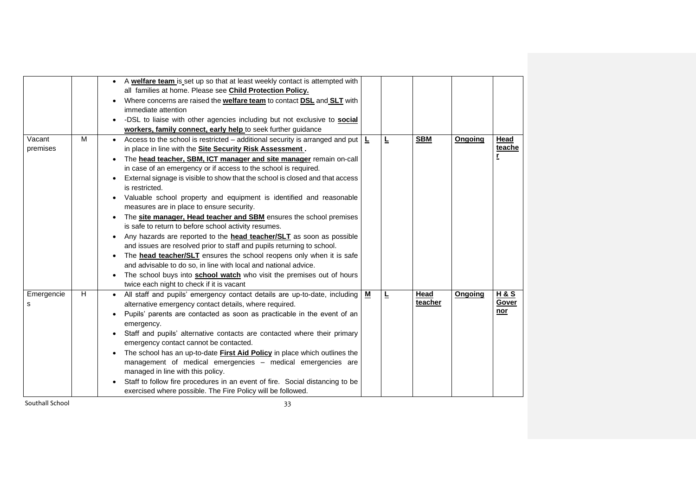| A welfare team is set up so that at least weekly contact is attempted with                                            |                           |
|-----------------------------------------------------------------------------------------------------------------------|---------------------------|
| all families at home. Please see Child Protection Policy.                                                             |                           |
| Where concerns are raised the <b>welfare team</b> to contact <b>DSL</b> and <b>SLT</b> with                           |                           |
| immediate attention                                                                                                   |                           |
| -DSL to liaise with other agencies including but not exclusive to <b>social</b>                                       |                           |
| workers, family connect, early help to seek further guidance                                                          |                           |
| M<br>Vacant<br>Ē<br><b>SBM</b><br>Access to the school is restricted - additional security is arranged and put<br>L   | Head<br>Ongoing           |
| premises<br>in place in line with the Site Security Risk Assessment.                                                  | teache                    |
| The head teacher, SBM, ICT manager and site manager remain on-call                                                    | r                         |
| in case of an emergency or if access to the school is required.                                                       |                           |
| External signage is visible to show that the school is closed and that access                                         |                           |
| is restricted.                                                                                                        |                           |
| Valuable school property and equipment is identified and reasonable                                                   |                           |
| measures are in place to ensure security.                                                                             |                           |
| The site manager, Head teacher and SBM ensures the school premises                                                    |                           |
| is safe to return to before school activity resumes.                                                                  |                           |
| Any hazards are reported to the <b>head teacher/SLT</b> as soon as possible                                           |                           |
| and issues are resolved prior to staff and pupils returning to school.                                                |                           |
| The <b>head teacher/SLT</b> ensures the school reopens only when it is safe                                           |                           |
| and advisable to do so, in line with local and national advice.                                                       |                           |
| The school buys into <b>school watch</b> who visit the premises out of hours                                          |                           |
| twice each night to check if it is vacant                                                                             |                           |
| H<br>Head<br>Emergencie<br><u>м</u><br>Ŀ<br>All staff and pupils' emergency contact details are up-to-date, including | <b>H&amp;S</b><br>Ongoing |
| teacher<br>alternative emergency contact details, where required.<br>s                                                | Gover                     |
| Pupils' parents are contacted as soon as practicable in the event of an                                               | $nor$                     |
| emergency.                                                                                                            |                           |
| Staff and pupils' alternative contacts are contacted where their primary                                              |                           |
| emergency contact cannot be contacted.                                                                                |                           |
| The school has an up-to-date First Aid Policy in place which outlines the                                             |                           |
| management of medical emergencies - medical emergencies are                                                           |                           |
| managed in line with this policy.                                                                                     |                           |
| Staff to follow fire procedures in an event of fire. Social distancing to be                                          |                           |
| exercised where possible. The Fire Policy will be followed.                                                           |                           |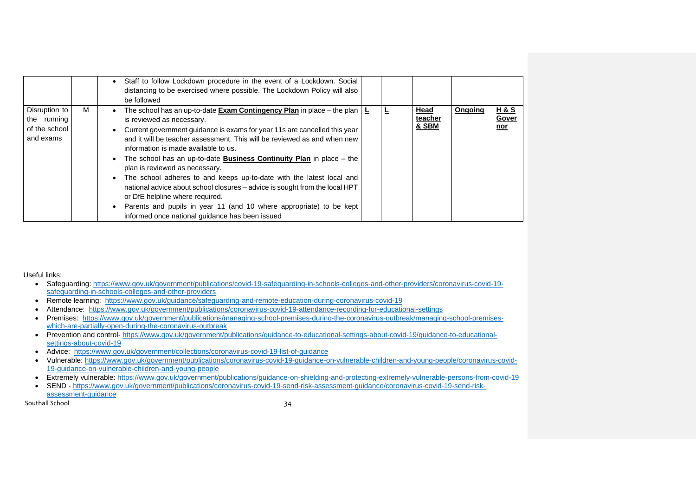|                                                            |   | Staff to follow Lockdown procedure in the event of a Lockdown. Social<br>distancing to be exercised where possible. The Lockdown Policy will also<br>be followed                                                                                                                                                                                                                                                                                                                                                                                                                                                                                                                                                                                                    |  |                                            |         |                                       |
|------------------------------------------------------------|---|---------------------------------------------------------------------------------------------------------------------------------------------------------------------------------------------------------------------------------------------------------------------------------------------------------------------------------------------------------------------------------------------------------------------------------------------------------------------------------------------------------------------------------------------------------------------------------------------------------------------------------------------------------------------------------------------------------------------------------------------------------------------|--|--------------------------------------------|---------|---------------------------------------|
| Disruption to<br>the running<br>of the school<br>and exams | м | The school has an up-to-date <b>Exam Contingency Plan</b> in place – the plan $\vert$ <b>L</b><br>is reviewed as necessary.<br>Current government guidance is exams for year 11s are cancelled this year<br>and it will be teacher assessment. This will be reviewed as and when new<br>information is made available to us.<br>The school has an up-to-date <b>Business Continuity Plan</b> in place $-$ the<br>plan is reviewed as necessary.<br>The school adheres to and keeps up-to-date with the latest local and<br>national advice about school closures - advice is sought from the local HPT<br>or DfE helpline where required.<br>Parents and pupils in year 11 (and 10 where appropriate) to be kept<br>informed once national guidance has been issued |  | <b>Head</b><br>teacher<br><b>&amp; SBM</b> | Ongoing | <u>H&amp;S</u><br>Gover<br><u>nor</u> |

Useful links:

- Safeguarding: [https://www.gov.uk/government/publications/covid-19-safeguarding-in-schools-colleges-and-other-providers/coronavirus-covid-19](https://www.gov.uk/government/publications/covid-19-safeguarding-in-schools-colleges-and-other-providers/coronavirus-covid-19-safeguarding-in-schools-colleges-and-other-providers) [safeguarding-in-schools-colleges-and-other-providers](https://www.gov.uk/government/publications/covid-19-safeguarding-in-schools-colleges-and-other-providers/coronavirus-covid-19-safeguarding-in-schools-colleges-and-other-providers)
- Remote learning: <https://www.gov.uk/guidance/safeguarding-and-remote-education-during-coronavirus-covid-19>
- Attendance: <https://www.gov.uk/government/publications/coronavirus-covid-19-attendance-recording-for-educational-settings>
- Premises: [https://www.gov.uk/government/publications/managing-school-premises-during-the-coronavirus-outbreak/managing-school-premises](https://www.gov.uk/government/publications/managing-school-premises-during-the-coronavirus-outbreak/managing-school-premises-which-are-partially-open-during-the-coronavirus-outbreak)[which-are-partially-open-during-the-coronavirus-outbreak](https://www.gov.uk/government/publications/managing-school-premises-during-the-coronavirus-outbreak/managing-school-premises-which-are-partially-open-during-the-coronavirus-outbreak)
- Prevention and control- [https://www.gov.uk/government/publications/guidance-to-educational-settings-about-covid-19/guidance-to-educational](https://www.gov.uk/government/publications/guidance-to-educational-settings-about-covid-19/guidance-to-educational-settings-about-covid-19)[settings-about-covid-19](https://www.gov.uk/government/publications/guidance-to-educational-settings-about-covid-19/guidance-to-educational-settings-about-covid-19)
- Advice: <https://www.gov.uk/government/collections/coronavirus-covid-19-list-of-guidance>
- Vulnerable: [https://www.gov.uk/government/publications/coronavirus-covid-19-guidance-on-vulnerable-children-and-young-people/coronavirus-covid-](https://www.gov.uk/government/publications/coronavirus-covid-19-guidance-on-vulnerable-children-and-young-people/coronavirus-covid-19-guidance-on-vulnerable-children-and-young-people)[19-guidance-on-vulnerable-children-and-young-people](https://www.gov.uk/government/publications/coronavirus-covid-19-guidance-on-vulnerable-children-and-young-people/coronavirus-covid-19-guidance-on-vulnerable-children-and-young-people)
- Extremely vulnerable:<https://www.gov.uk/government/publications/guidance-on-shielding-and-protecting-extremely-vulnerable-persons-from-covid-19>
- SEND [https://www.gov.uk/government/publications/coronavirus-covid-19-send-risk-assessment-guidance/coronavirus-covid-19-send-risk-](https://www.gov.uk/government/publications/coronavirus-covid-19-send-risk-assessment-guidance/coronavirus-covid-19-send-risk-assessment-guidance)

Southall School 34

[assessment-guidance](https://www.gov.uk/government/publications/coronavirus-covid-19-send-risk-assessment-guidance/coronavirus-covid-19-send-risk-assessment-guidance)